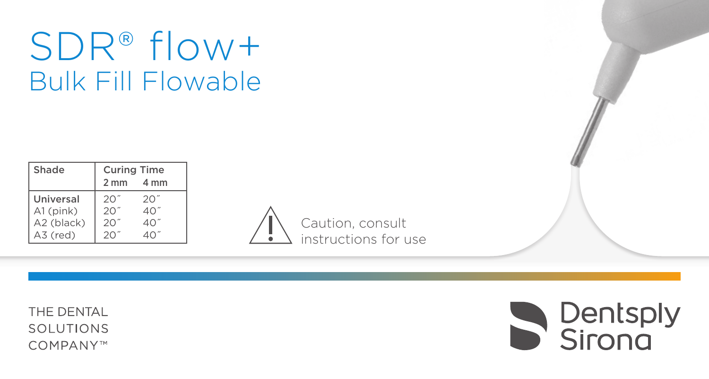# SDR® flow+ Bulk Fill Flowable

| Shade      | <b>Curing Time</b> |              |
|------------|--------------------|--------------|
|            | $2 \, \text{mm}$   | 4 mm         |
| Universal  | 201                | $20^{\circ}$ |
| A1 (pink)  | 201                | $40^{\circ}$ |
| A2 (black) | 20"                | 40.          |
| A3 (red)   | $20^{\circ}$       |              |



THE DENTAL SOLUTIONS COMPANY™

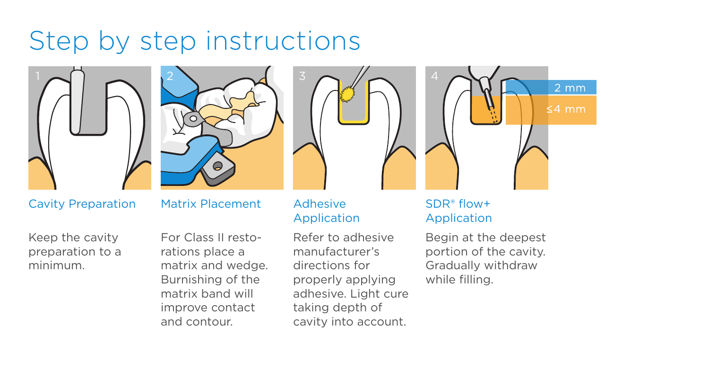# Step by step instructions





Keep the cavity preparation to a minimum.





For Class II restorations place a matrix and wedge. Burnishing of the matrix band will improve contact and contour.

# Adhesive Application

Refer to adhesive manufacturer's directions for properly applying adhesive. Light cure taking depth of cavity into account.



# SDR® flow+ Application

Begin at the deepest portion of the cavity. Gradually withdraw while filling.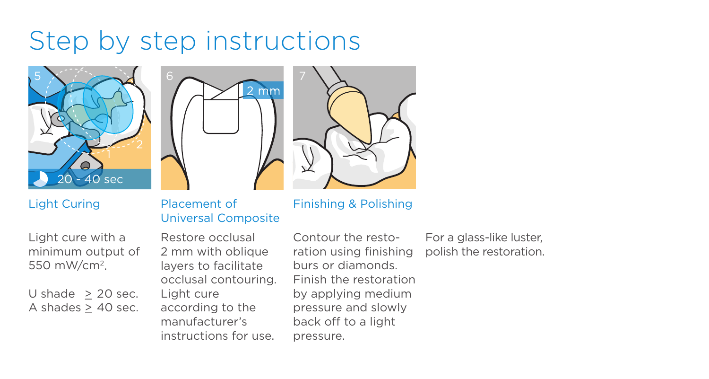# Step by step instructions







Finishing & Polishing

Light Curing

Light cure with a minimum output of 550 mW/cm2.

U shade  $> 20$  sec. A shades  $\geq$  40 sec.

# Placement of Universal Composite

Restore occlusal 2 mm with oblique layers to facilitate occlusal contouring. Light cure according to the manufacturer's instructions for use.

Contour the restoration using finishing burs or diamonds. Finish the restoration by applying medium pressure and slowly back off to a light pressure.

For a glass-like luster, polish the restoration.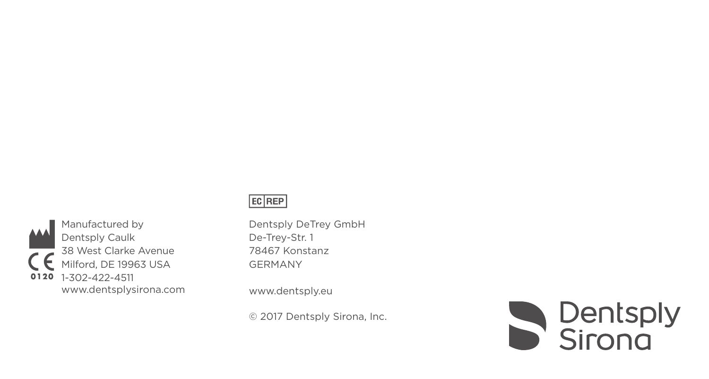

Manufactured by Dentsply Caulk 38 West Clarke Avenue Milford, DE 19963 USA 0120 1-302-422-4511 www.dentsplysirona.com

# EC REP

Dentsply DeTrey GmbH De-Trey-Str. 1 78467 Konstanz GERMANY

www.dentsply.eu

© 2017 Dentsply Sirona, Inc.

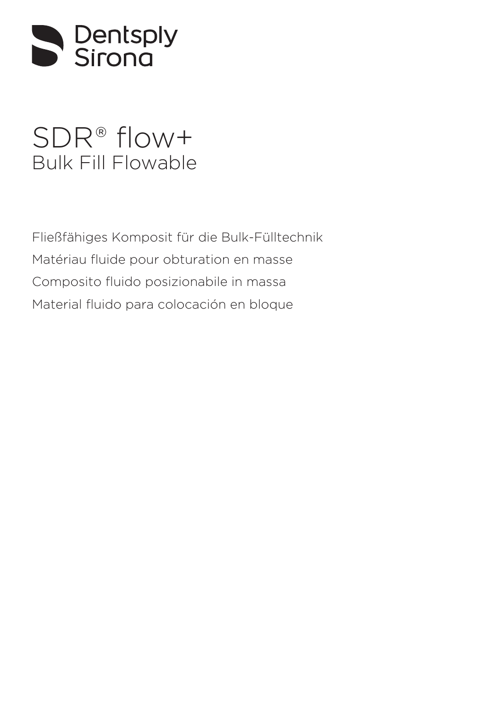

# SDR® flow+ [Bulk Fill Flowable](#page-6-0)

[Fließfähiges Komposit für die Bulk-Fülltechnik](#page-13-0) [Matériau fluide pour obturation en masse](#page-20-0) [Composito fluido posizionabile in massa](#page-27-0) [Material fluido para colocación en bloque](#page-34-0)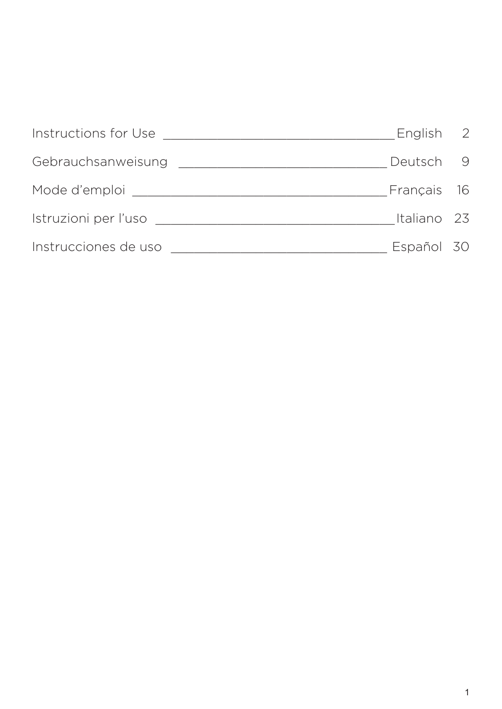| Instructions for Use | English 2   |    |
|----------------------|-------------|----|
| Gebrauchsanweisung   | Deutsch     | -9 |
| Mode d'emploi        | Français 16 |    |
| Istruzioni per l'uso | Italiano 23 |    |
| Instrucciones de uso | Español 30  |    |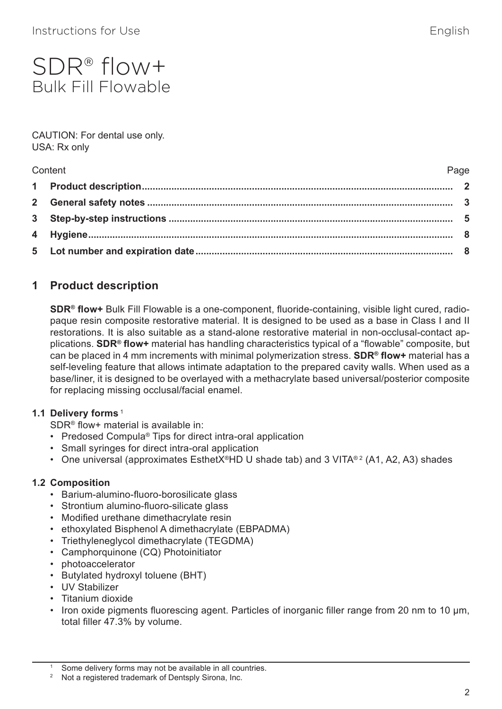# <span id="page-6-0"></span>SDR® flow+ Bulk Fill Flowable

#### CAUTION: For dental use only. USA: Rx only

| Content | Page |
|---------|------|
|         |      |
|         |      |
|         |      |
|         |      |
|         |      |

# **1 Product description**

**SDR® flow+** Bulk Fill Flowable is a one-component, fluoride-containing, visible light cured, radiopaque resin composite restorative material. It is designed to be used as a base in Class I and II restorations. It is also suitable as a stand-alone restorative material in non-occlusal-contact applications. **SDR® flow+** material has handling characteristics typical of a "flowable" composite, but can be placed in 4 mm increments with minimal polymerization stress. **SDR® flow+** material has a self-leveling feature that allows intimate adaptation to the prepared cavity walls. When used as a base/liner, it is designed to be overlayed with a methacrylate based universal/posterior composite for replacing missing occlusal/facial enamel.

# **1.1 Delivery forms**<sup>1</sup>

SDR® flow+ material is available in:

- Predosed Compula® Tips for direct intra-oral application
- Small syringes for direct intra-oral application
- One universal (approximates EsthetX®HD U shade tab) and 3 VITA®2 (A1, A2, A3) shades

#### **1.2 Composition**

- Barium-alumino-fluoro-borosilicate glass
- Strontium alumino-fluoro-silicate glass
- Modified urethane dimethacrylate resin
- ethoxylated Bisphenol A dimethacrylate (EBPADMA)
- Triethyleneglycol dimethacrylate (TEGDMA)
- Camphorquinone (CQ) Photoinitiator
- photoaccelerator
- Butylated hydroxyl toluene (BHT)
- UV Stabilizer
- Titanium dioxide
- Iron oxide pigments fluorescing agent. Particles of inorganic filler range from 20 nm to 10 µm, total filler 47.3% by volume.

Some delivery forms may not be available in all countries.

<sup>&</sup>lt;sup>2</sup> Not a registered trademark of Dentsply Sirona, Inc.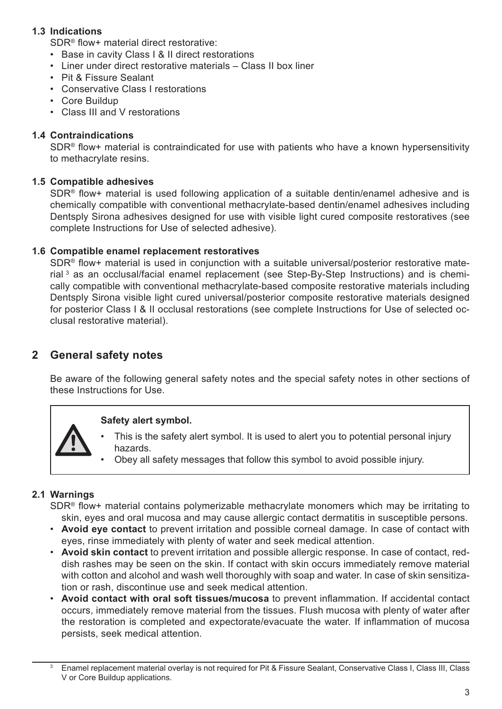#### **1.3 Indications**

SDR® flow+ material direct restorative:

- Base in cavity Class I & II direct restorations
- Liner under direct restorative materials Class II box liner
- Pit & Fissure Sealant
- Conservative Class I restorations
- Core Buildup
- Class III and V restorations

#### **1.4 Contraindications**

SDR<sup>®</sup> flow+ material is contraindicated for use with patients who have a known hypersensitivity to methacrylate resins.

#### **1.5 Compatible adhesives**

SDR® flow+ material is used following application of a suitable dentin/enamel adhesive and is chemically compatible with conventional methacrylate-based dentin/enamel adhesives including Dentsply Sirona adhesives designed for use with visible light cured composite restoratives (see complete Instructions for Use of selected adhesive).

#### **1.6 Compatible enamel replacement restoratives**

SDR<sup>®</sup> flow+ material is used in conjunction with a suitable universal/posterior restorative material<sup>3</sup> as an occlusal/facial enamel replacement (see Step-By-Step Instructions) and is chemically compatible with conventional methacrylate-based composite restorative materials including Dentsply Sirona visible light cured universal/posterior composite restorative materials designed for posterior Class I & II occlusal restorations (see complete Instructions for Use of selected occlusal restorative material).

# **2 General safety notes**

Be aware of the following general safety notes and the special safety notes in other sections of these Instructions for Use.

#### **Safety alert symbol.**

- This is the safety alert symbol. It is used to alert you to potential personal injury hazards.
- Obey all safety messages that follow this symbol to avoid possible injury.

#### **2.1 Warnings**

SDR® flow+ material contains polymerizable methacrylate monomers which may be irritating to skin, eyes and oral mucosa and may cause allergic contact dermatitis in susceptible persons.

- **Avoid eye contact** to prevent irritation and possible corneal damage. In case of contact with eyes, rinse immediately with plenty of water and seek medical attention.
- **Avoid skin contact** to prevent irritation and possible allergic response. In case of contact, reddish rashes may be seen on the skin. If contact with skin occurs immediately remove material with cotton and alcohol and wash well thoroughly with soap and water. In case of skin sensitization or rash, discontinue use and seek medical attention.
- **Avoid contact with oral soft tissues/mucosa** to prevent inflammation. If accidental contact occurs, immediately remove material from the tissues. Flush mucosa with plenty of water after the restoration is completed and expectorate/evacuate the water. If inflammation of mucosa persists, seek medical attention.

Enamel replacement material overlay is not required for Pit & Fissure Sealant, Conservative Class I, Class III, Class V or Core Buildup applications.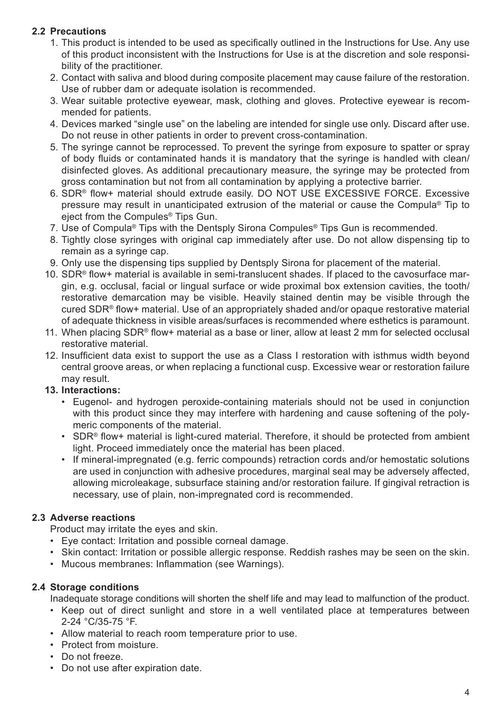#### **2.2 Precautions**

- 1. This product is intended to be used as specifically outlined in the Instructions for Use. Any use of this product inconsistent with the Instructions for Use is at the discretion and sole responsibility of the practitioner.
- 2. Contact with saliva and blood during composite placement may cause failure of the restoration. Use of rubber dam or adequate isolation is recommended.
- 3. Wear suitable protective eyewear, mask, clothing and gloves. Protective eyewear is recommended for patients.
- 4. Devices marked "single use" on the labeling are intended for single use only. Discard after use. Do not reuse in other patients in order to prevent cross-contamination.
- 5. The syringe cannot be reprocessed. To prevent the syringe from exposure to spatter or spray of body fluids or contaminated hands it is mandatory that the syringe is handled with clean/ disinfected gloves. As additional precautionary measure, the syringe may be protected from gross contamination but not from all contamination by applying a protective barrier.
- 6. SDR® flow+ material should extrude easily. DO NOT USE EXCESSIVE FORCE. Excessive pressure may result in unanticipated extrusion of the material or cause the Compula® Tip to eject from the Compules® Tips Gun.
- 7. Use of Compula® Tips with the Dentsply Sirona Compules® Tips Gun is recommended.
- 8. Tightly close syringes with original cap immediately after use. Do not allow dispensing tip to remain as a syringe cap.
- 9. Only use the dispensing tips supplied by Dentsply Sirona for placement of the material.
- 10. SDR® flow+ material is available in semi-translucent shades. If placed to the cavosurface margin, e.g. occlusal, facial or lingual surface or wide proximal box extension cavities, the tooth/ restorative demarcation may be visible. Heavily stained dentin may be visible through the cured SDR® flow+ material. Use of an appropriately shaded and/or opaque restorative material of adequate thickness in visible areas/surfaces is recommended where esthetics is paramount.
- 11. When placing SDR<sup>®</sup> flow+ material as a base or liner, allow at least 2 mm for selected occlusal restorative material.
- 12. Insufficient data exist to support the use as a Class I restoration with isthmus width beyond central groove areas, or when replacing a functional cusp. Excessive wear or restoration failure may result.

#### **13. Interactions:**

- Eugenol- and hydrogen peroxide-containing materials should not be used in conjunction with this product since they may interfere with hardening and cause softening of the polymeric components of the material.
- SDR® flow+ material is light-cured material. Therefore, it should be protected from ambient light. Proceed immediately once the material has been placed.
- If mineral-impregnated (e.g. ferric compounds) retraction cords and/or hemostatic solutions are used in conjunction with adhesive procedures, marginal seal may be adversely affected, allowing microleakage, subsurface staining and/or restoration failure. If gingival retraction is necessary, use of plain, non-impregnated cord is recommended.

### **2.3 Adverse reactions**

Product may irritate the eyes and skin.

- Eye contact: Irritation and possible corneal damage.
- Skin contact: Irritation or possible allergic response. Reddish rashes may be seen on the skin.
- Mucous membranes: Inflammation (see Warnings).

#### **2.4 Storage conditions**

Inadequate storage conditions will shorten the shelf life and may lead to malfunction of the product.

- Keep out of direct sunlight and store in a well ventilated place at temperatures between 2-24 °C/35-75 °F.
- Allow material to reach room temperature prior to use.
- Protect from moisture.
- Do not freeze.
- Do not use after expiration date.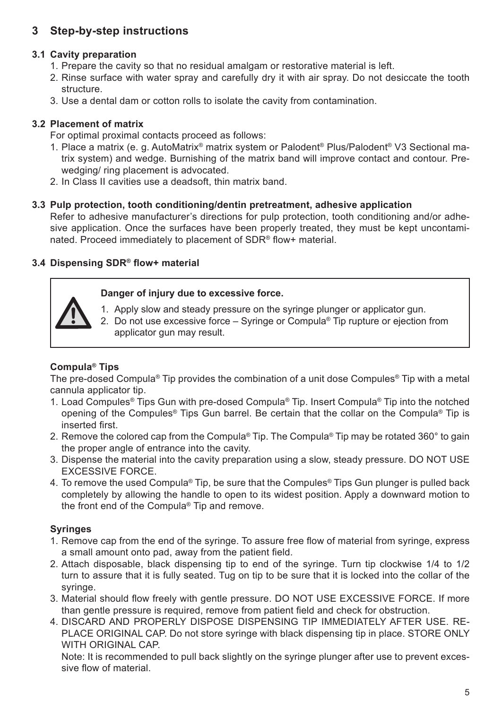# **3 Step-by-step instructions**

#### **3.1 Cavity preparation**

- 1. Prepare the cavity so that no residual amalgam or restorative material is left.
- 2. Rinse surface with water spray and carefully dry it with air spray. Do not desiccate the tooth structure.
- 3. Use a dental dam or cotton rolls to isolate the cavity from contamination.

#### **3.2 Placement of matrix**

For optimal proximal contacts proceed as follows:

- 1. Place a matrix (e. g. AutoMatrix® matrix system or Palodent® Plus/Palodent® V3 Sectional matrix system) and wedge. Burnishing of the matrix band will improve contact and contour. Prewedging/ ring placement is advocated.
- 2. In Class II cavities use a deadsoft, thin matrix band.

#### **3.3 Pulp protection, tooth conditioning/dentin pretreatment, adhesive application**

Refer to adhesive manufacturer's directions for pulp protection, tooth conditioning and/or adhesive application. Once the surfaces have been properly treated, they must be kept uncontaminated. Proceed immediately to placement of SDR® flow+ material.

#### **3.4 Dispensing SDR® flow+ material**

#### **Danger of injury due to excessive force.**



- 1. Apply slow and steady pressure on the syringe plunger or applicator gun.
- 2. Do not use excessive force Syringe or Compula® Tip rupture or ejection from applicator gun may result.

#### **Compula® Tips**

The pre-dosed Compula® Tip provides the combination of a unit dose Compules® Tip with a metal cannula applicator tip.

- 1. Load Compules® Tips Gun with pre-dosed Compula® Tip. Insert Compula® Tip into the notched opening of the Compules® Tips Gun barrel. Be certain that the collar on the Compula® Tip is inserted first.
- 2. Remove the colored cap from the Compula® Tip. The Compula® Tip may be rotated 360° to gain the proper angle of entrance into the cavity.
- 3. Dispense the material into the cavity preparation using a slow, steady pressure. DO NOT USE EXCESSIVE FORCE.
- 4. To remove the used Compula® Tip, be sure that the Compules® Tips Gun plunger is pulled back completely by allowing the handle to open to its widest position. Apply a downward motion to the front end of the Compula® Tip and remove.

#### **Syringes**

- 1. Remove cap from the end of the syringe. To assure free flow of material from syringe, express a small amount onto pad, away from the patient field.
- 2. Attach disposable, black dispensing tip to end of the syringe. Turn tip clockwise 1/4 to 1/2 turn to assure that it is fully seated. Tug on tip to be sure that it is locked into the collar of the syringe.
- 3. Material should flow freely with gentle pressure. DO NOT USE EXCESSIVE FORCE. If more than gentle pressure is required, remove from patient field and check for obstruction.
- 4. DISCARD AND PROPERLY DISPOSE DISPENSING TIP IMMEDIATELY AFTER USE. RE-PLACE ORIGINAL CAP. Do not store syringe with black dispensing tip in place. STORE ONLY WITH ORIGINAL CAP.

Note: It is recommended to pull back slightly on the syringe plunger after use to prevent excessive flow of material.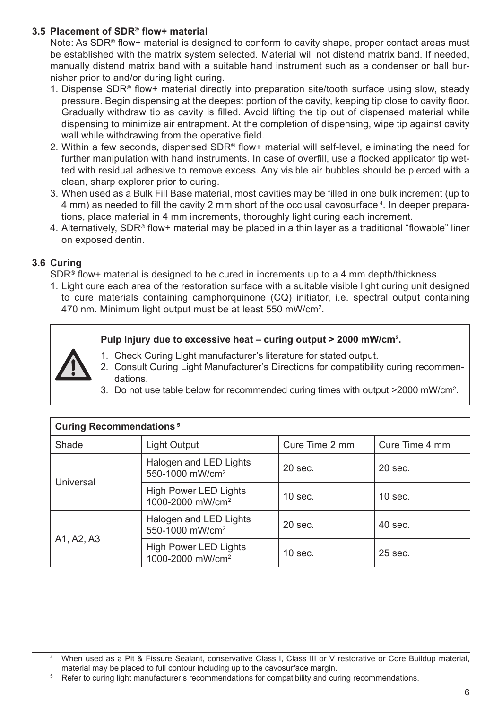#### **3.5 Placement of SDR® flow+ material**

Note: As SDR® flow+ material is designed to conform to cavity shape, proper contact areas must be established with the matrix system selected. Material will not distend matrix band. If needed, manually distend matrix band with a suitable hand instrument such as a condenser or ball burnisher prior to and/or during light curing.

- 1. Dispense SDR® flow+ material directly into preparation site/tooth surface using slow, steady pressure. Begin dispensing at the deepest portion of the cavity, keeping tip close to cavity floor. Gradually withdraw tip as cavity is filled. Avoid lifting the tip out of dispensed material while dispensing to minimize air entrapment. At the completion of dispensing, wipe tip against cavity wall while withdrawing from the operative field.
- 2. Within a few seconds, dispensed SDR® flow+ material will self-level, eliminating the need for further manipulation with hand instruments. In case of overfill, use a flocked applicator tip wetted with residual adhesive to remove excess. Any visible air bubbles should be pierced with a clean, sharp explorer prior to curing.
- 3. When used as a Bulk Fill Base material, most cavities may be filled in one bulk increment (up to 4 mm) as needed to fill the cavity 2 mm short of the occlusal cavosurface <sup>4</sup> . In deeper preparations, place material in 4 mm increments, thoroughly light curing each increment.
- 4. Alternatively, SDR® flow+ material may be placed in a thin layer as a traditional "flowable" liner on exposed dentin.

#### **3.6 Curing**

SDR® flow+ material is designed to be cured in increments up to a 4 mm depth/thickness.

1. Light cure each area of the restoration surface with a suitable visible light curing unit designed to cure materials containing camphorquinone (CQ) initiator, i.e. spectral output containing 470 nm. Minimum light output must be at least 550 mW/cm<sup>2</sup> .

#### **Pulp Injury due to excessive heat – curing output > 2000 mW/cm<sup>2</sup> .**

- 1. Check Curing Light manufacturer's literature for stated output.
- 2. Consult Curing Light Manufacturer's Directions for compatibility curing recommendations.
- 3. Do not use table below for recommended curing times with output >2000 mW/cm<sup>2</sup> .

| <b>Curing Recommendations<sup>5</sup></b> |                                                              |                |                |
|-------------------------------------------|--------------------------------------------------------------|----------------|----------------|
| Shade                                     | Light Output                                                 | Cure Time 2 mm | Cure Time 4 mm |
| <b>Universal</b>                          | Halogen and LED Lights<br>550-1000 mW/cm <sup>2</sup>        | $20$ sec.      | $20$ sec.      |
|                                           | <b>High Power LED Lights</b><br>1000-2000 mW/cm <sup>2</sup> | $10$ sec.      | $10$ sec.      |
| A1, A2, A3                                | Halogen and LED Lights<br>550-1000 mW/cm <sup>2</sup>        | $20$ sec.      | $40$ sec.      |
|                                           | <b>High Power LED Lights</b><br>1000-2000 mW/cm <sup>2</sup> | $10$ sec.      | $25$ sec.      |

<sup>4</sup> When used as a Pit & Fissure Sealant, conservative Class I, Class III or V restorative or Core Buildup material, material may be placed to full contour including up to the cavosurface margin.

<sup>&</sup>lt;sup>5</sup> Refer to curing light manufacturer's recommendations for compatibility and curing recommendations.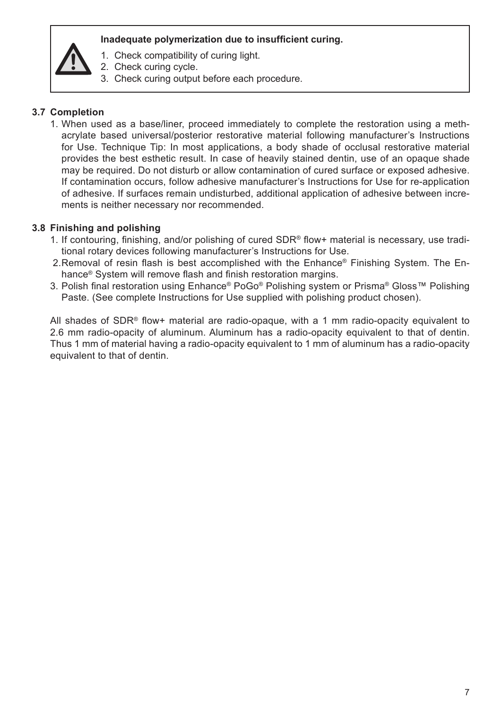#### **Inadequate polymerization due to insufficient curing.**

- 1. Check compatibility of curing light.
- 2. Check curing cycle.
- 3. Check curing output before each procedure.

#### **3.7 Completion**

1. When used as a base/liner, proceed immediately to complete the restoration using a methacrylate based universal/posterior restorative material following manufacturer's Instructions for Use. Technique Tip: In most applications, a body shade of occlusal restorative material provides the best esthetic result. In case of heavily stained dentin, use of an opaque shade may be required. Do not disturb or allow contamination of cured surface or exposed adhesive. If contamination occurs, follow adhesive manufacturer's Instructions for Use for re-application of adhesive. If surfaces remain undisturbed, additional application of adhesive between increments is neither necessary nor recommended.

#### **3.8 Finishing and polishing**

- 1. If contouring, finishing, and/or polishing of cured SDR® flow+ material is necessary, use traditional rotary devices following manufacturer's Instructions for Use.
- 2.Removal of resin flash is best accomplished with the Enhance® Finishing System. The Enhance® System will remove flash and finish restoration margins.
- 3. Polish final restoration using Enhance® PoGo® Polishing system or Prisma® Gloss™ Polishing Paste. (See complete Instructions for Use supplied with polishing product chosen).

All shades of SDR® flow+ material are radio-opaque, with a 1 mm radio-opacity equivalent to 2.6 mm radio-opacity of aluminum. Aluminum has a radio-opacity equivalent to that of dentin. Thus 1 mm of material having a radio-opacity equivalent to 1 mm of aluminum has a radio-opacity equivalent to that of dentin.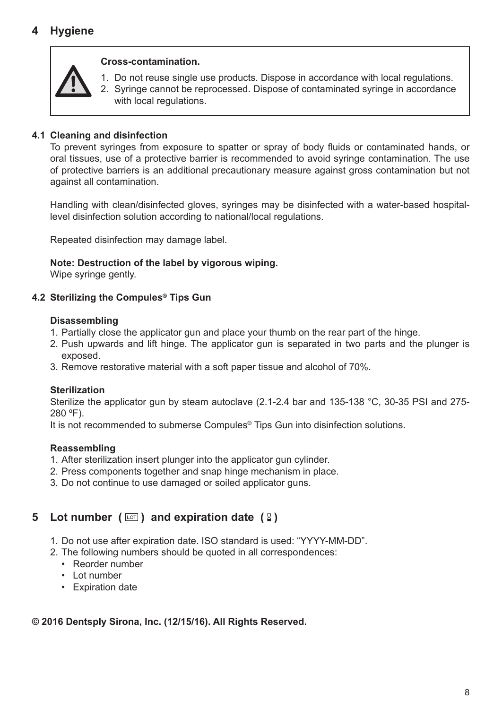# **4 Hygiene**



#### **Cross-contamination.**

- 1. Do not reuse single use products. Dispose in accordance with local regulations.
- 2. Syringe cannot be reprocessed. Dispose of contaminated syringe in accordance with local regulations.

#### **4.1 Cleaning and disinfection**

To prevent syringes from exposure to spatter or spray of body fluids or contaminated hands, or oral tissues, use of a protective barrier is recommended to avoid syringe contamination. The use of protective barriers is an additional precautionary measure against gross contamination but not against all contamination.

Handling with clean/disinfected gloves, syringes may be disinfected with a water-based hospitallevel disinfection solution according to national/local regulations.

Repeated disinfection may damage label.

#### **Note: Destruction of the label by vigorous wiping.**

Wipe syringe gently.

#### **4.2 Sterilizing the Compules® Tips Gun**

#### **Disassembling**

- 1. Partially close the applicator gun and place your thumb on the rear part of the hinge.
- 2. Push upwards and lift hinge. The applicator gun is separated in two parts and the plunger is exposed.
- 3. Remove restorative material with a soft paper tissue and alcohol of 70%.

#### **Sterilization**

Sterilize the applicator gun by steam autoclave (2.1-2.4 bar and 135-138 °C, 30-35 PSI and 275- 280 ºF).

It is not recommended to submerse Compules® Tips Gun into disinfection solutions.

#### **Reassembling**

- 1. After sterilization insert plunger into the applicator gun cylinder.
- 2. Press components together and snap hinge mechanism in place.
- 3. Do not continue to use damaged or soiled applicator guns.

# **5** Lot number ( $\text{cm}$ ) and expiration date ( $\text{R}$ )

- 1. Do not use after expiration date. ISO standard is used: "YYYY-MM-DD".
- 2. The following numbers should be quoted in all correspondences:
	- Reorder number
	- Lot number
	- Expiration date

# **© 2016 Dentsply Sirona, Inc. (12/15/16). All Rights Reserved.**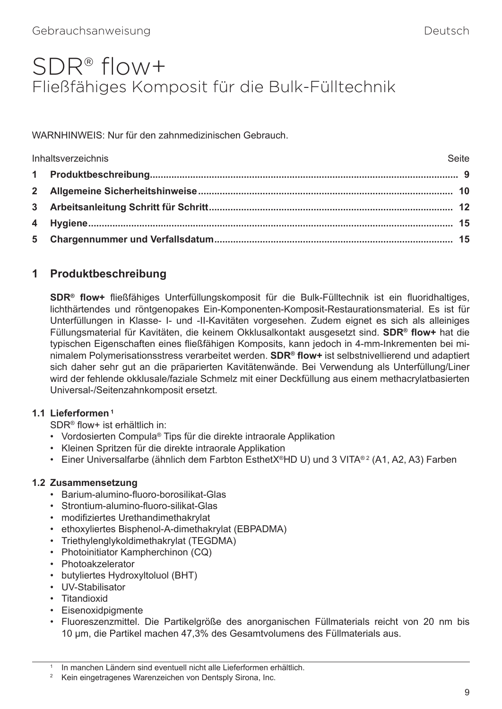# <span id="page-13-0"></span>SDR® flow+ Fließfähiges Komposit für die Bulk-Fülltechnik

WARNHINWEIS: Nur für den zahnmedizinischen Gebrauch.

| Seite<br>Inhaltsverzeichnis |  |
|-----------------------------|--|
|                             |  |
|                             |  |
|                             |  |
|                             |  |
|                             |  |

# **1 Produktbeschreibung**

**SDR® flow+** fließfähiges Unterfüllungskomposit für die Bulk-Fülltechnik ist ein fluoridhaltiges, lichthärtendes und röntgenopakes Ein-Komponenten-Komposit-Restaurationsmaterial. Es ist für Unterfüllungen in Klasse- I- und -II-Kavitäten vorgesehen. Zudem eignet es sich als alleiniges Füllungsmaterial für Kavitäten, die keinem Okklusalkontakt ausgesetzt sind. **SDR® flow+** hat die typischen Eigenschaften eines fließfähigen Komposits, kann jedoch in 4-mm-Inkrementen bei minimalem Polymerisationsstress verarbeitet werden. **SDR® flow+** ist selbstnivellierend und adaptiert sich daher sehr gut an die präparierten Kavitätenwände. Bei Verwendung als Unterfüllung/Liner wird der fehlende okklusale/faziale Schmelz mit einer Deckfüllung aus einem methacrylatbasierten Universal-/Seitenzahnkomposit ersetzt.

#### **1.1 Lieferformen 1**

SDR® flow+ ist erhältlich in:

- Vordosierten Compula® Tips für die direkte intraorale Applikation
- Kleinen Spritzen für die direkte intraorale Applikation
- Einer Universalfarbe (ähnlich dem Farbton EsthetX®HD U) und 3 VITA®<sup>2</sup> (A1, A2, A3) Farben

# **1.2 Zusammensetzung**

- Barium-alumino-fluoro-borosilikat-Glas
- Strontium-alumino-fluoro-silikat-Glas
- modifiziertes Urethandimethakrylat
- ethoxyliertes Bisphenol-A-dimethakrylat (EBPADMA)
- Triethylenglykoldimethakrylat (TEGDMA)
- Photoinitiator Kampherchinon (CQ)
- Photoakzelerator
- butyliertes Hydroxyltoluol (BHT)
- UV-Stabilisator
- Titandioxid
- Eisenoxidpigmente
- Fluoreszenzmittel. Die Partikelgröße des anorganischen Füllmaterials reicht von 20 nm bis 10 µm, die Partikel machen 47,3% des Gesamtvolumens des Füllmaterials aus.

In manchen Ländern sind eventuell nicht alle Lieferformen erhältlich.

<sup>&</sup>lt;sup>2</sup> Kein eingetragenes Warenzeichen von Dentsply Sirona, Inc.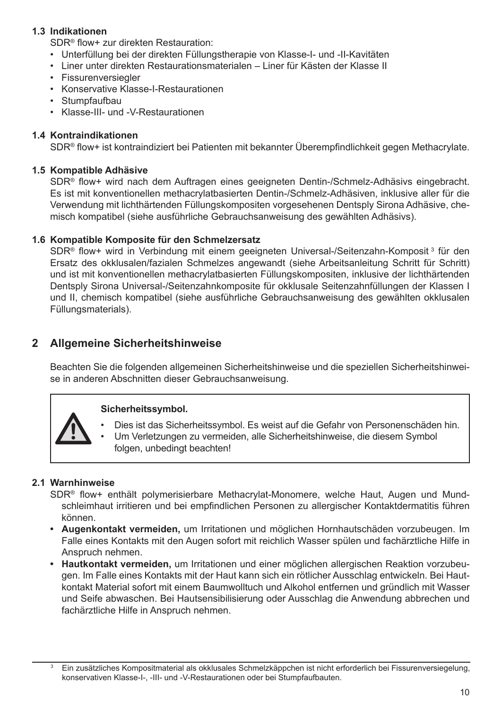#### **1.3 Indikationen**

SDR® flow+ zur direkten Restauration:

- Unterfüllung bei der direkten Füllungstherapie von Klasse-I- und -II-Kavitäten
- Liner unter direkten Restaurationsmaterialen Liner für Kästen der Klasse II
- Fissurenversiegler
- Konservative Klasse-I-Restaurationen
- Stumpfaufbau
- Klasse-III- und -V-Restaurationen

#### **1.4 Kontraindikationen**

SDR® flow+ ist kontraindiziert bei Patienten mit bekannter Überempfindlichkeit gegen Methacrylate.

#### **1.5 Kompatible Adhäsive**

SDR® flow+ wird nach dem Auftragen eines geeigneten Dentin-/Schmelz-Adhäsivs eingebracht. Es ist mit konventionellen methacrylatbasierten Dentin-/Schmelz-Adhäsiven, inklusive aller für die Verwendung mit lichthärtenden Füllungskompositen vorgesehenen Dentsply Sirona Adhäsive, chemisch kompatibel (siehe ausführliche Gebrauchsanweisung des gewählten Adhäsivs).

#### **1.6 Kompatible Komposite für den Schmelzersatz**

SDR® flow+ wird in Verbindung mit einem geeigneten Universal-/Seitenzahn-Komposit 3 für den Ersatz des okklusalen/fazialen Schmelzes angewandt (siehe Arbeitsanleitung Schritt für Schritt) und ist mit konventionellen methacrylatbasierten Füllungskompositen, inklusive der lichthärtenden Dentsply Sirona Universal-/Seitenzahnkomposite für okklusale Seitenzahnfüllungen der Klassen I und II, chemisch kompatibel (siehe ausführliche Gebrauchsanweisung des gewählten okklusalen Füllungsmaterials).

### **2 Allgemeine Sicherheitshinweise**

Beachten Sie die folgenden allgemeinen Sicherheitshinweise und die speziellen Sicherheitshinweise in anderen Abschnitten dieser Gebrauchsanweisung.

#### **Sicherheitssymbol.**

- Dies ist das Sicherheitssymbol. Es weist auf die Gefahr von Personenschäden hin.
- Um Verletzungen zu vermeiden, alle Sicherheitshinweise, die diesem Symbol folgen, unbedingt beachten!

#### **2.1 Warnhinweise**

SDR® flow+ enthält polymerisierbare Methacrylat-Monomere, welche Haut, Augen und Mundschleimhaut irritieren und bei empfindlichen Personen zu allergischer Kontaktdermatitis führen können.

- **• Augenkontakt vermeiden,** um Irritationen und möglichen Hornhautschäden vorzubeugen. Im Falle eines Kontakts mit den Augen sofort mit reichlich Wasser spülen und fachärztliche Hilfe in Anspruch nehmen.
- **• Hautkontakt vermeiden,** um Irritationen und einer möglichen allergischen Reaktion vorzubeugen. Im Falle eines Kontakts mit der Haut kann sich ein rötlicher Ausschlag entwickeln. Bei Hautkontakt Material sofort mit einem Baumwolltuch und Alkohol entfernen und gründlich mit Wasser und Seife abwaschen. Bei Hautsensibilisierung oder Ausschlag die Anwendung abbrechen und fachärztliche Hilfe in Anspruch nehmen.

<sup>3</sup> Ein zusätzliches Kompositmaterial als okklusales Schmelzkäppchen ist nicht erforderlich bei Fissurenversiegelung, konservativen Klasse-I-, -III- und -V-Restaurationen oder bei Stumpfaufbauten.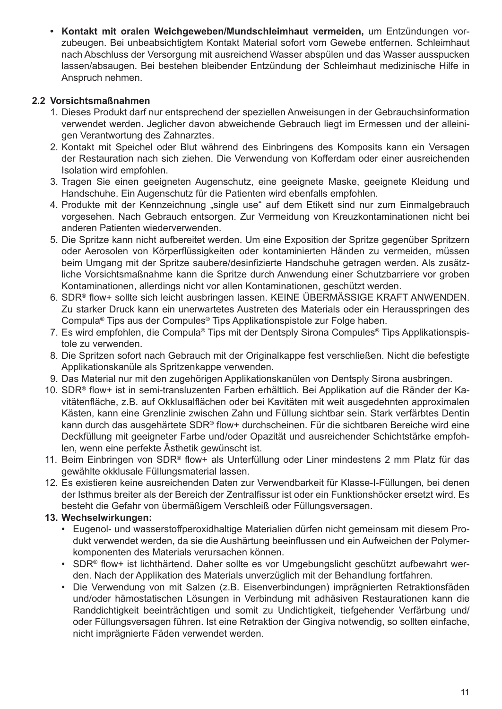**• Kontakt mit oralen Weichgeweben/Mundschleimhaut vermeiden,** um Entzündungen vorzubeugen. Bei unbeabsichtigtem Kontakt Material sofort vom Gewebe entfernen. Schleimhaut nach Abschluss der Versorgung mit ausreichend Wasser abspülen und das Wasser ausspucken lassen/absaugen. Bei bestehen bleibender Entzündung der Schleimhaut medizinische Hilfe in Anspruch nehmen.

#### **2.2 Vorsichtsmaßnahmen**

- 1. Dieses Produkt darf nur entsprechend der speziellen Anweisungen in der Gebrauchsinformation verwendet werden. Jeglicher davon abweichende Gebrauch liegt im Ermessen und der alleinigen Verantwortung des Zahnarztes.
- 2. Kontakt mit Speichel oder Blut während des Einbringens des Komposits kann ein Versagen der Restauration nach sich ziehen. Die Verwendung von Kofferdam oder einer ausreichenden Isolation wird empfohlen.
- 3. Tragen Sie einen geeigneten Augenschutz, eine geeignete Maske, geeignete Kleidung und Handschuhe. Ein Augenschutz für die Patienten wird ebenfalls empfohlen.
- 4. Produkte mit der Kennzeichnung "single use" auf dem Etikett sind nur zum Einmalgebrauch vorgesehen. Nach Gebrauch entsorgen. Zur Vermeidung von Kreuzkontaminationen nicht bei anderen Patienten wiederverwenden.
- 5. Die Spritze kann nicht aufbereitet werden. Um eine Exposition der Spritze gegenüber Spritzern oder Aerosolen von Körperflüssigkeiten oder kontaminierten Händen zu vermeiden, müssen beim Umgang mit der Spritze saubere/desinfizierte Handschuhe getragen werden. Als zusätzliche Vorsichtsmaßnahme kann die Spritze durch Anwendung einer Schutzbarriere vor groben Kontaminationen, allerdings nicht vor allen Kontaminationen, geschützt werden.
- 6. SDR® flow+ sollte sich leicht ausbringen lassen. KEINE ÜBERMÄSSIGE KRAFT ANWENDEN. Zu starker Druck kann ein unerwartetes Austreten des Materials oder ein Herausspringen des Compula® Tips aus der Compules® Tips Applikationspistole zur Folge haben.
- 7. Es wird empfohlen, die Compula® Tips mit der Dentsply Sirona Compules® Tips Applikationspistole zu verwenden.
- 8. Die Spritzen sofort nach Gebrauch mit der Originalkappe fest verschließen. Nicht die befestigte Applikationskanüle als Spritzenkappe verwenden.
- 9. Das Material nur mit den zugehörigen Applikationskanülen von Dentsply Sirona ausbringen.
- 10. SDR® flow+ ist in semi-transluzenten Farben erhältlich. Bei Applikation auf die Ränder der Kavitätenfläche, z.B. auf Okklusalflächen oder bei Kavitäten mit weit ausgedehnten approximalen Kästen, kann eine Grenzlinie zwischen Zahn und Füllung sichtbar sein. Stark verfärbtes Dentin kann durch das ausgehärtete SDR® flow+ durchscheinen. Für die sichtbaren Bereiche wird eine Deckfüllung mit geeigneter Farbe und/oder Opazität und ausreichender Schichtstärke empfohlen, wenn eine perfekte Ästhetik gewünscht ist.
- 11. Beim Einbringen von SDR® flow+ als Unterfüllung oder Liner mindestens 2 mm Platz für das gewählte okklusale Füllungsmaterial lassen.
- 12. Es existieren keine ausreichenden Daten zur Verwendbarkeit für Klasse-I-Füllungen, bei denen der Isthmus breiter als der Bereich der Zentralfissur ist oder ein Funktionshöcker ersetzt wird. Es besteht die Gefahr von übermäßigem Verschleiß oder Füllungsversagen.

#### **13. Wechselwirkungen:**

- Eugenol- und wasserstoffperoxidhaltige Materialien dürfen nicht gemeinsam mit diesem Produkt verwendet werden, da sie die Aushärtung beeinflussen und ein Aufweichen der Polymerkomponenten des Materials verursachen können.
- SDR® flow+ ist lichthärtend. Daher sollte es vor Umgebungslicht geschützt aufbewahrt werden. Nach der Applikation des Materials unverzüglich mit der Behandlung fortfahren.
- Die Verwendung von mit Salzen (z.B. Eisenverbindungen) imprägnierten Retraktionsfäden und/oder hämostatischen Lösungen in Verbindung mit adhäsiven Restaurationen kann die Randdichtigkeit beeinträchtigen und somit zu Undichtigkeit, tiefgehender Verfärbung und/ oder Füllungsversagen führen. Ist eine Retraktion der Gingiva notwendig, so sollten einfache, nicht imprägnierte Fäden verwendet werden.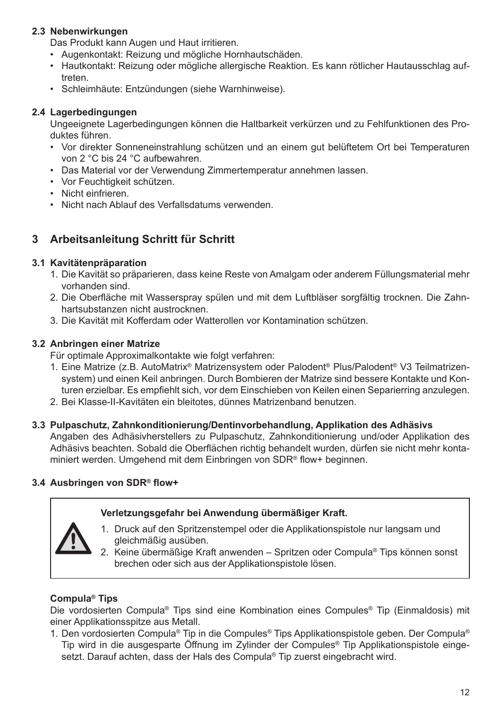#### **2.3 Nebenwirkungen**

Das Produkt kann Augen und Haut irritieren.

- Augenkontakt: Reizung und mögliche Hornhautschäden.
- Hautkontakt: Reizung oder mögliche allergische Reaktion. Es kann rötlicher Hautausschlag auftreten.
- Schleimhäute: Entzündungen (siehe Warnhinweise).

#### **2.4 Lagerbedingungen**

Ungeeignete Lagerbedingungen können die Haltbarkeit verkürzen und zu Fehlfunktionen des Produktes führen.

- Vor direkter Sonneneinstrahlung schützen und an einem gut belüftetem Ort bei Temperaturen von 2 °C bis 24 °C aufbewahren.
- Das Material vor der Verwendung Zimmertemperatur annehmen lassen.
- Vor Feuchtigkeit schützen.
- Nicht einfrieren.
- Nicht nach Ablauf des Verfallsdatums verwenden.

# **3 Arbeitsanleitung Schritt für Schritt**

#### **3.1 Kavitätenpräparation**

- 1. Die Kavität so präparieren, dass keine Reste von Amalgam oder anderem Füllungsmaterial mehr vorhanden sind.
- 2. Die Oberfläche mit Wasserspray spülen und mit dem Luftbläser sorgfältig trocknen. Die Zahnhartsubstanzen nicht austrocknen.
- 3. Die Kavität mit Kofferdam oder Watterollen vor Kontamination schützen.

#### **3.2 Anbringen einer Matrize**

Für optimale Approximalkontakte wie folgt verfahren:

- 1. Eine Matrize (z.B. AutoMatrix® Matrizensystem oder Palodent® Plus/Palodent® V3 Teilmatrizensystem) und einen Keil anbringen. Durch Bombieren der Matrize sind bessere Kontakte und Konturen erzielbar. Es empfiehlt sich, vor dem Einschieben von Keilen einen Separierring anzulegen.
- 2. Bei Klasse-II-Kavitäten ein bleitotes, dünnes Matrizenband benutzen.

#### **3.3 Pulpaschutz, Zahnkonditionierung/Dentinvorbehandlung, Applikation des Adhäsivs**

Angaben des Adhäsivherstellers zu Pulpaschutz, Zahnkonditionierung und/oder Applikation des Adhäsivs beachten. Sobald die Oberflächen richtig behandelt wurden, dürfen sie nicht mehr kontaminiert werden. Umgehend mit dem Einbringen von SDR® flow+ beginnen.

#### **3.4 Ausbringen von SDR® flow+**

#### **Verletzungsgefahr bei Anwendung übermäßiger Kraft.**

- 
- 1. Druck auf den Spritzenstempel oder die Applikationspistole nur langsam und gleichmäßig ausüben.
- 2. Keine übermäßige Kraft anwenden Spritzen oder Compula® Tips können sonst brechen oder sich aus der Applikationspistole lösen.

#### **Compula® Tips**

Die vordosierten Compula® Tips sind eine Kombination eines Compules® Tip (Einmaldosis) mit einer Applikationsspitze aus Metall.

1. Den vordosierten Compula® Tip in die Compules® Tips Applikationspistole geben. Der Compula® Tip wird in die ausgesparte Öffnung im Zylinder der Compules® Tip Applikationspistole eingesetzt. Darauf achten, dass der Hals des Compula<sup>®</sup> Tip zuerst eingebracht wird.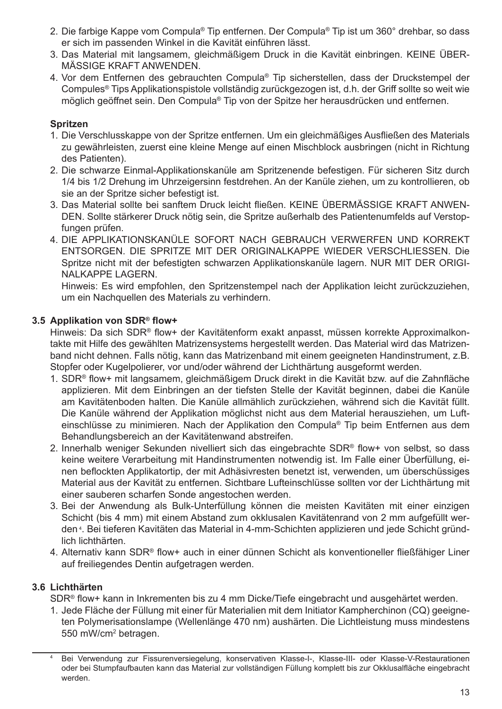- 2. Die farbige Kappe vom Compula® Tip entfernen. Der Compula® Tip ist um 360° drehbar, so dass er sich im passenden Winkel in die Kavität einführen lässt.
- 3. Das Material mit langsamem, gleichmäßigem Druck in die Kavität einbringen. KEINE ÜBER-MÄSSIGE KRAFT ANWENDEN.
- 4. Vor dem Entfernen des gebrauchten Compula® Tip sicherstellen, dass der Druckstempel der Compules® Tips Applikationspistole vollständig zurückgezogen ist, d.h. der Griff sollte so weit wie möglich geöffnet sein. Den Compula® Tip von der Spitze her herausdrücken und entfernen.

#### **Spritzen**

- 1. Die Verschlusskappe von der Spritze entfernen. Um ein gleichmäßiges Ausfließen des Materials zu gewährleisten, zuerst eine kleine Menge auf einen Mischblock ausbringen (nicht in Richtung des Patienten).
- 2. Die schwarze Einmal-Applikationskanüle am Spritzenende befestigen. Für sicheren Sitz durch 1/4 bis 1/2 Drehung im Uhrzeigersinn festdrehen. An der Kanüle ziehen, um zu kontrollieren, ob sie an der Spritze sicher befestigt ist.
- 3. Das Material sollte bei sanftem Druck leicht fließen. KEINE ÜBERMÄSSIGE KRAFT ANWEN-DEN. Sollte stärkerer Druck nötig sein, die Spritze außerhalb des Patientenumfelds auf Verstopfungen prüfen.
- 4. DIE APPLIKATIONSKANÜLE SOFORT NACH GEBRAUCH VERWERFEN UND KORREKT ENTSORGEN. DIE SPRITZE MIT DER ORIGINALKAPPE WIEDER VERSCHLIESSEN. Die Spritze nicht mit der befestigten schwarzen Applikationskanüle lagern. NUR MIT DER ORIGI-NALKAPPE LAGERN.

Hinweis: Es wird empfohlen, den Spritzenstempel nach der Applikation leicht zurückzuziehen, um ein Nachquellen des Materials zu verhindern.

#### **3.5 Applikation von SDR® flow+**

Hinweis: Da sich SDR® flow+ der Kavitätenform exakt anpasst, müssen korrekte Approximalkontakte mit Hilfe des gewählten Matrizensystems hergestellt werden. Das Material wird das Matrizenband nicht dehnen. Falls nötig, kann das Matrizenband mit einem geeigneten Handinstrument, z.B. Stopfer oder Kugelpolierer, vor und/oder während der Lichthärtung ausgeformt werden.

- 1. SDR® flow+ mit langsamem, gleichmäßigem Druck direkt in die Kavität bzw. auf die Zahnfläche applizieren. Mit dem Einbringen an der tiefsten Stelle der Kavität beginnen, dabei die Kanüle am Kavitätenboden halten. Die Kanüle allmählich zurückziehen, während sich die Kavität füllt. Die Kanüle während der Applikation möglichst nicht aus dem Material herausziehen, um Lufteinschlüsse zu minimieren. Nach der Applikation den Compula® Tip beim Entfernen aus dem Behandlungsbereich an der Kavitätenwand abstreifen.
- 2. Innerhalb weniger Sekunden nivelliert sich das eingebrachte SDR® flow+ von selbst, so dass keine weitere Verarbeitung mit Handinstrumenten notwendig ist. Im Falle einer Überfüllung, einen beflockten Applikatortip, der mit Adhäsivresten benetzt ist, verwenden, um überschüssiges Material aus der Kavität zu entfernen. Sichtbare Lufteinschlüsse sollten vor der Lichthärtung mit einer sauberen scharfen Sonde angestochen werden.
- 3. Bei der Anwendung als Bulk-Unterfüllung können die meisten Kavitäten mit einer einzigen Schicht (bis 4 mm) mit einem Abstand zum okklusalen Kavitätenrand von 2 mm aufgefüllt werden <sup>4</sup> . Bei tieferen Kavitäten das Material in 4-mm-Schichten applizieren und jede Schicht gründlich lichthärten.
- 4. Alternativ kann SDR® flow+ auch in einer dünnen Schicht als konventioneller fließfähiger Liner auf freiliegendes Dentin aufgetragen werden.

#### **3.6 Lichthärten**

SDR® flow+ kann in Inkrementen bis zu 4 mm Dicke/Tiefe eingebracht und ausgehärtet werden.

1. Jede Fläche der Füllung mit einer für Materialien mit dem Initiator Kampherchinon (CQ) geeigneten Polymerisationslampe (Wellenlänge 470 nm) aushärten. Die Lichtleistung muss mindestens 550 mW/cm<sup>2</sup> betragen.

Bei Verwendung zur Fissurenversiegelung, konservativen Klasse-I-, Klasse-III- oder Klasse-V-Restaurationen oder bei Stumpfaufbauten kann das Material zur vollständigen Füllung komplett bis zur Okklusalfläche eingebracht werden.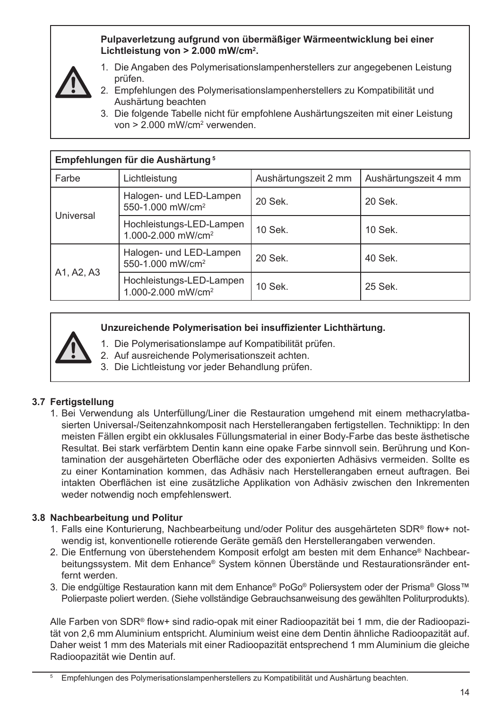#### **Pulpaverletzung aufgrund von übermäßiger Wärmeentwicklung bei einer Lichtleistung von > 2.000 mW/cm<sup>2</sup> .**



- 1. Die Angaben des Polymerisationslampenherstellers zur angegebenen Leistung prüfen.
- 2. Empfehlungen des Polymerisationslampenherstellers zu Kompatibilität und Aushärtung beachten
- 3. Die folgende Tabelle nicht für empfohlene Aushärtungszeiten mit einer Leistung von > 2.000 mW/cm<sup>2</sup> verwenden.

| Empfehlungen für die Aushärtung <sup>5</sup> |                                                            |                      |                      |
|----------------------------------------------|------------------------------------------------------------|----------------------|----------------------|
| Farbe                                        | Lichtleistung                                              | Aushärtungszeit 2 mm | Aushärtungszeit 4 mm |
| Universal                                    | Halogen- und LED-Lampen<br>550-1.000 mW/cm <sup>2</sup>    | 20 Sek.              | 20 Sek.              |
|                                              | Hochleistungs-LED-Lampen<br>1.000-2.000 mW/cm <sup>2</sup> | $10$ Sek.            | $10$ Sek.            |
| A1, A2, A3                                   | Halogen- und LED-Lampen<br>550-1.000 mW/cm <sup>2</sup>    | 20 Sek.              | 40 Sek.              |
|                                              | Hochleistungs-LED-Lampen<br>1.000-2.000 mW/cm <sup>2</sup> | $10$ Sek.            | 25 Sek.              |

#### **Unzureichende Polymerisation bei insuffizienter Lichthärtung.**

- 1. Die Polymerisationslampe auf Kompatibilität prüfen.
- 2. Auf ausreichende Polymerisationszeit achten.
- 3. Die Lichtleistung vor jeder Behandlung prüfen.

# **3.7 Fertigstellung**

1. Bei Verwendung als Unterfüllung/Liner die Restauration umgehend mit einem methacrylatbasierten Universal-/Seitenzahnkomposit nach Herstellerangaben fertigstellen. Techniktipp: In den meisten Fällen ergibt ein okklusales Füllungsmaterial in einer Body-Farbe das beste ästhetische Resultat. Bei stark verfärbtem Dentin kann eine opake Farbe sinnvoll sein. Berührung und Kontamination der ausgehärteten Oberfläche oder des exponierten Adhäsivs vermeiden. Sollte es zu einer Kontamination kommen, das Adhäsiv nach Herstellerangaben erneut auftragen. Bei intakten Oberflächen ist eine zusätzliche Applikation von Adhäsiv zwischen den Inkrementen weder notwendig noch empfehlenswert.

# **3.8 Nachbearbeitung und Politur**

- 1. Falls eine Konturierung, Nachbearbeitung und/oder Politur des ausgehärteten SDR® flow+ notwendig ist, konventionelle rotierende Geräte gemäß den Herstellerangaben verwenden.
- 2. Die Entfernung von überstehendem Komposit erfolgt am besten mit dem Enhance® Nachbearbeitungssystem. Mit dem Enhance® System können Überstände und Restaurationsränder entfernt werden.
- 3. Die endgültige Restauration kann mit dem Enhance® PoGo® Poliersystem oder der Prisma® Gloss™ Polierpaste poliert werden. (Siehe vollständige Gebrauchsanweisung des gewählten Politurprodukts).

Alle Farben von SDR® flow+ sind radio-opak mit einer Radioopazität bei 1 mm, die der Radioopazität von 2,6 mm Aluminium entspricht. Aluminium weist eine dem Dentin ähnliche Radioopazität auf. Daher weist 1 mm des Materials mit einer Radioopazität entsprechend 1 mm Aluminium die gleiche Radioopazität wie Dentin auf.

<sup>5</sup> Empfehlungen des Polymerisationslampenherstellers zu Kompatibilität und Aushärtung beachten.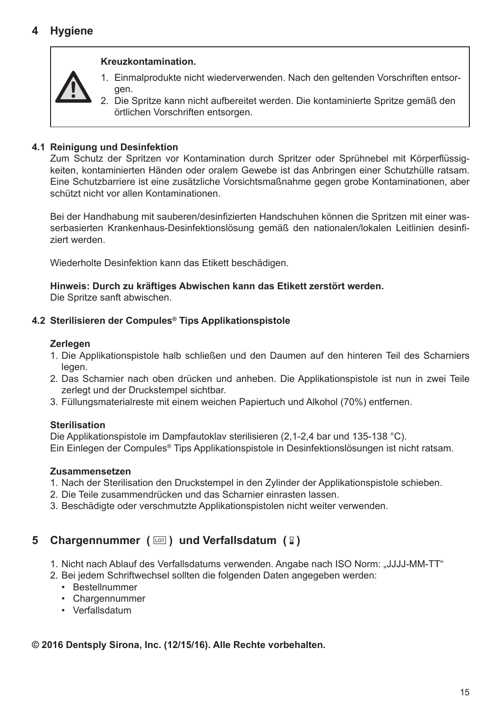#### **Kreuzkontamination.**



2. Die Spritze kann nicht aufbereitet werden. Die kontaminierte Spritze gemäß den örtlichen Vorschriften entsorgen.

#### **4.1 Reinigung und Desinfektion**

Zum Schutz der Spritzen vor Kontamination durch Spritzer oder Sprühnebel mit Körperflüssigkeiten, kontaminierten Händen oder oralem Gewebe ist das Anbringen einer Schutzhülle ratsam. Eine Schutzbarriere ist eine zusätzliche Vorsichtsmaßnahme gegen grobe Kontaminationen, aber schützt nicht vor allen Kontaminationen.

Bei der Handhabung mit sauberen/desinfizierten Handschuhen können die Spritzen mit einer wasserbasierten Krankenhaus-Desinfektionslösung gemäß den nationalen/lokalen Leitlinien desinfiziert werden.

Wiederholte Desinfektion kann das Etikett beschädigen.

**Hinweis: Durch zu kräftiges Abwischen kann das Etikett zerstört werden.** Die Spritze sanft abwischen.

#### **4.2 Sterilisieren der Compules® Tips Applikationspistole**

#### **Zerlegen**

- 1. Die Applikationspistole halb schließen und den Daumen auf den hinteren Teil des Scharniers legen.
- 2. Das Scharnier nach oben drücken und anheben. Die Applikationspistole ist nun in zwei Teile zerlegt und der Druckstempel sichtbar.
- 3. Füllungsmaterialreste mit einem weichen Papiertuch und Alkohol (70%) entfernen.

#### **Sterilisation**

Die Applikationspistole im Dampfautoklav sterilisieren (2,1-2,4 bar und 135-138 °C). Ein Einlegen der Compules® Tips Applikationspistole in Desinfektionslösungen ist nicht ratsam.

#### **Zusammensetzen**

- 1. Nach der Sterilisation den Druckstempel in den Zylinder der Applikationspistole schieben.
- 2. Die Teile zusammendrücken und das Scharnier einrasten lassen.
- 3. Beschädigte oder verschmutzte Applikationspistolen nicht weiter verwenden.

# **5 Chargennummer** ( $\text{cm}$ ) und Verfallsdatum ( $\text{R}$ )

- 1. Nicht nach Ablauf des Verfallsdatums verwenden. Angabe nach ISO Norm: "JJJJ-MM-TT"
- 2. Bei jedem Schriftwechsel sollten die folgenden Daten angegeben werden:
	- Bestellnummer
	- Chargennummer
	- Verfallsdatum

#### **© 2016 Dentsply Sirona, Inc. (12/15/16). Alle Rechte vorbehalten.**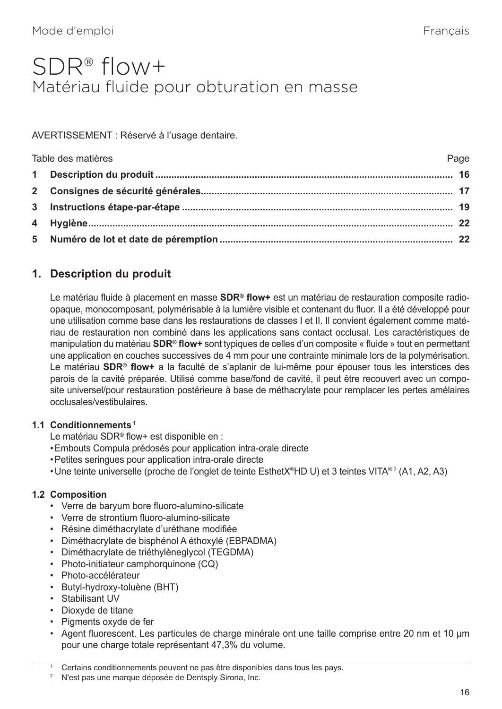# <span id="page-20-0"></span>SDR® flow+ Matériau fluide pour obturation en masse

AVERTISSEMENT : Réservé à l'usage dentaire.

| Table des matières | Page |
|--------------------|------|
|                    |      |
|                    |      |
|                    |      |
|                    |      |
|                    |      |

# **1. Description du produit**

Le matériau fluide à placement en masse **SDR® flow+** est un matériau de restauration composite radioopaque, monocomposant, polymérisable à la lumière visible et contenant du fluor. Il a été développé pour une utilisation comme base dans les restaurations de classes I et II. Il convient également comme matériau de restauration non combiné dans les applications sans contact occlusal. Les caractéristiques de manipulation du matériau **SDR® flow+** sont typiques de celles d'un composite « fluide » tout en permettant une application en couches successives de 4 mm pour une contrainte minimale lors de la polymérisation. Le matériau **SDR® flow+** a la faculté de s'aplanir de lui-même pour épouser tous les interstices des parois de la cavité préparée. Utilisé comme base/fond de cavité, il peut être recouvert avec un composite universel/pour restauration postérieure à base de méthacrylate pour remplacer les pertes amélaires occlusales/vestibulaires.

#### **1.1 Conditionnements 1**

Le matériau SDR® flow+ est disponible en :

- •Embouts Compula prédosés pour application intra-orale directe
- •Petites seringues pour application intra-orale directe
- Une teinte universelle (proche de l'onglet de teinte EsthetX®HD U) et 3 teintes VITA® 2 (A1, A2, A3)

#### **1.2 Composition**

- Verre de baryum bore fluoro-alumino-silicate
- Verre de strontium fluoro-alumino-silicate
- Résine diméthacrylate d'uréthane modifiée
- Diméthacrylate de bisphénol A éthoxylé (EBPADMA)
- Diméthacrylate de triéthylèneglycol (TEGDMA)
- Photo-initiateur camphorquinone (CQ)
- Photo-accélérateur
- Butyl-hydroxy-toluène (BHT)
- Stabilisant UV
- Dioxyde de titane
- Pigments oxyde de fer
- Agent fluorescent. Les particules de charge minérale ont une taille comprise entre 20 nm et 10 µm pour une charge totale représentant 47,3% du volume.

Certains conditionnements peuvent ne pas être disponibles dans tous les pays.

<sup>&</sup>lt;sup>2</sup> N'est pas une marque déposée de Dentsply Sirona, Inc.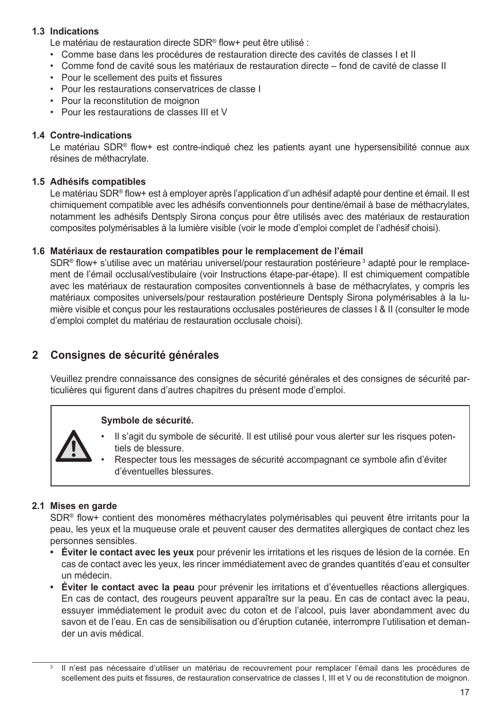#### **1.3 Indications**

Le matériau de restauration directe SDR® flow+ peut être utilisé :

- Comme base dans les procédures de restauration directe des cavités de classes I et II
- Comme fond de cavité sous les matériaux de restauration directe fond de cavité de classe II
- Pour le scellement des puits et fissures
- Pour les restaurations conservatrices de classe I
- Pour la reconstitution de moignon
- Pour les restaurations de classes III et V

#### **1.4 Contre-indications**

Le matériau SDR® flow+ est contre-indiqué chez les patients ayant une hypersensibilité connue aux résines de méthacrylate.

#### **1.5 Adhésifs compatibles**

Le matériau SDR® flow+ est à employer après l'application d'un adhésif adapté pour dentine et émail. Il est chimiquement compatible avec les adhésifs conventionnels pour dentine/émail à base de méthacrylates, notamment les adhésifs Dentsply Sirona conçus pour être utilisés avec des matériaux de restauration composites polymérisables à la lumière visible (voir le mode d'emploi complet de l'adhésif choisi).

#### **1.6 Matériaux de restauration compatibles pour le remplacement de l'émail**

SDR® flow+ s'utilise avec un matériau universel/pour restauration postérieure<sup>3</sup> adapté pour le remplacement de l'émail occlusal/vestibulaire (voir Instructions étape-par-étape). Il est chimiquement compatible avec les matériaux de restauration composites conventionnels à base de méthacrylates, y compris les matériaux composites universels/pour restauration postérieure Dentsply Sirona polymérisables à la lumière visible et conçus pour les restaurations occlusales postérieures de classes I & II (consulter le mode d'emploi complet du matériau de restauration occlusale choisi).

### **2 Consignes de sécurité générales**

Veuillez prendre connaissance des consignes de sécurité générales et des consignes de sécurité particulières qui figurent dans d'autres chapitres du présent mode d'emploi.

#### **Symbole de sécurité.**



- Il s'agit du symbole de sécurité. Il est utilisé pour vous alerter sur les risques potentiels de blessure.
- Respecter tous les messages de sécurité accompagnant ce symbole afin d'éviter d'éventuelles blessures.

#### **2.1 Mises en garde**

SDR® flow+ contient des monomères méthacrylates polymérisables qui peuvent être irritants pour la peau, les yeux et la muqueuse orale et peuvent causer des dermatites allergiques de contact chez les personnes sensibles.

- **• Éviter le contact avec les yeux** pour prévenir les irritations et les risques de lésion de la cornée. En cas de contact avec les yeux, les rincer immédiatement avec de grandes quantités d'eau et consulter un médecin.
- **• Éviter le contact avec la peau** pour prévenir les irritations et d'éventuelles réactions allergiques. En cas de contact, des rougeurs peuvent apparaître sur la peau. En cas de contact avec la peau, essuyer immédiatement le produit avec du coton et de l'alcool, puis laver abondamment avec du savon et de l'eau. En cas de sensibilisation ou d'éruption cutanée, interrompre l'utilisation et demander un avis médical.

Il n'est pas nécessaire d'utiliser un matériau de recouvrement pour remplacer l'émail dans les procédures de scellement des puits et fissures, de restauration conservatrice de classes I, III et V ou de reconstitution de moignon.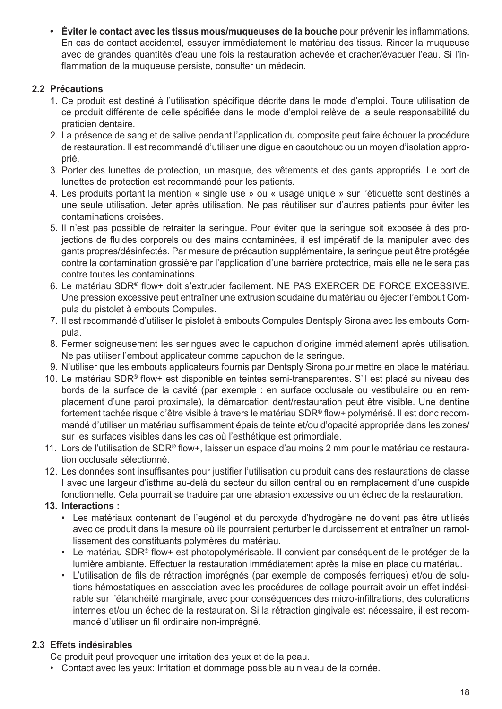**• Éviter le contact avec les tissus mous/muqueuses de la bouche** pour prévenir les inflammations. En cas de contact accidentel, essuyer immédiatement le matériau des tissus. Rincer la muqueuse avec de grandes quantités d'eau une fois la restauration achevée et cracher/évacuer l'eau. Si l'inflammation de la muqueuse persiste, consulter un médecin.

#### **2.2 Précautions**

- 1. Ce produit est destiné à l'utilisation spécifique décrite dans le mode d'emploi. Toute utilisation de ce produit différente de celle spécifiée dans le mode d'emploi relève de la seule responsabilité du praticien dentaire.
- 2. La présence de sang et de salive pendant l'application du composite peut faire échouer la procédure de restauration. Il est recommandé d'utiliser une digue en caoutchouc ou un moyen d'isolation approprié.
- 3. Porter des lunettes de protection, un masque, des vêtements et des gants appropriés. Le port de lunettes de protection est recommandé pour les patients.
- 4. Les produits portant la mention « single use » ou « usage unique » sur l'étiquette sont destinés à une seule utilisation. Jeter après utilisation. Ne pas réutiliser sur d'autres patients pour éviter les contaminations croisées.
- 5. Il n'est pas possible de retraiter la seringue. Pour éviter que la seringue soit exposée à des projections de fluides corporels ou des mains contaminées, il est impératif de la manipuler avec des gants propres/désinfectés. Par mesure de précaution supplémentaire, la seringue peut être protégée contre la contamination grossière par l'application d'une barrière protectrice, mais elle ne le sera pas contre toutes les contaminations.
- 6. Le matériau SDR® flow+ doit s'extruder facilement. NE PAS EXERCER DE FORCE EXCESSIVE. Une pression excessive peut entraîner une extrusion soudaine du matériau ou éjecter l'embout Compula du pistolet à embouts Compules.
- 7. Il est recommandé d'utiliser le pistolet à embouts Compules Dentsply Sirona avec les embouts Compula.
- 8. Fermer soigneusement les seringues avec le capuchon d'origine immédiatement après utilisation. Ne pas utiliser l'embout applicateur comme capuchon de la seringue.
- 9. N'utiliser que les embouts applicateurs fournis par Dentsply Sirona pour mettre en place le matériau.
- 10. Le matériau SDR® flow+ est disponible en teintes semi-transparentes. S'il est placé au niveau des bords de la surface de la cavité (par exemple : en surface occlusale ou vestibulaire ou en remplacement d'une paroi proximale), la démarcation dent/restauration peut être visible. Une dentine fortement tachée risque d'être visible à travers le matériau SDR® flow+ polymérisé. Il est donc recommandé d'utiliser un matériau suffisamment épais de teinte et/ou d'opacité appropriée dans les zones/ sur les surfaces visibles dans les cas où l'esthétique est primordiale.
- 11. Lors de l'utilisation de SDR® flow+, laisser un espace d'au moins 2 mm pour le matériau de restauration occlusale sélectionné.
- 12. Les données sont insuffisantes pour justifier l'utilisation du produit dans des restaurations de classe I avec une largeur d'isthme au-delà du secteur du sillon central ou en remplacement d'une cuspide fonctionnelle. Cela pourrait se traduire par une abrasion excessive ou un échec de la restauration.

#### **13. Interactions :**

- Les matériaux contenant de l'eugénol et du peroxyde d'hydrogène ne doivent pas être utilisés avec ce produit dans la mesure où ils pourraient perturber le durcissement et entraîner un ramollissement des constituants polymères du matériau.
- Le matériau SDR® flow+ est photopolymérisable. Il convient par conséquent de le protéger de la lumière ambiante. Effectuer la restauration immédiatement après la mise en place du matériau.
- L'utilisation de fils de rétraction imprégnés (par exemple de composés ferriques) et/ou de solutions hémostatiques en association avec les procédures de collage pourrait avoir un effet indésirable sur l'étanchéité marginale, avec pour conséquences des micro-infiltrations, des colorations internes et/ou un échec de la restauration. Si la rétraction gingivale est nécessaire, il est recommandé d'utiliser un fil ordinaire non-imprégné.

### **2.3 Effets indésirables**

Ce produit peut provoquer une irritation des yeux et de la peau.

• Contact avec les yeux: Irritation et dommage possible au niveau de la cornée.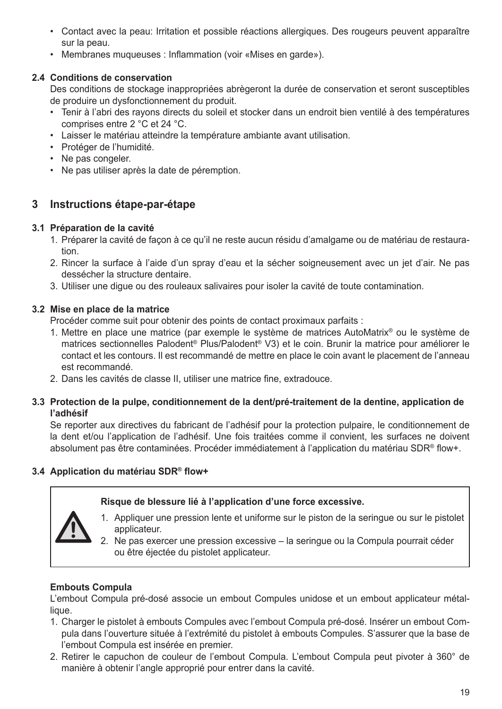- Contact avec la peau: Irritation et possible réactions allergiques. Des rougeurs peuvent apparaître sur la peau.
- Membranes muqueuses : Inflammation (voir «Mises en garde»).

#### **2.4 Conditions de conservation**

Des conditions de stockage inappropriées abrègeront la durée de conservation et seront susceptibles de produire un dysfonctionnement du produit.

- Tenir à l'abri des rayons directs du soleil et stocker dans un endroit bien ventilé à des températures comprises entre 2 °C et 24 °C.
- Laisser le matériau atteindre la température ambiante avant utilisation.
- Protéger de l'humidité.
- Ne pas congeler.
- Ne pas utiliser après la date de péremption.

# **3 Instructions étape-par-étape**

#### **3.1 Préparation de la cavité**

- 1. Préparer la cavité de façon à ce qu'il ne reste aucun résidu d'amalgame ou de matériau de restauration.
- 2. Rincer la surface à l'aide d'un spray d'eau et la sécher soigneusement avec un jet d'air. Ne pas dessécher la structure dentaire.
- 3. Utiliser une digue ou des rouleaux salivaires pour isoler la cavité de toute contamination.

#### **3.2 Mise en place de la matrice**

Procéder comme suit pour obtenir des points de contact proximaux parfaits :

- 1. Mettre en place une matrice (par exemple le système de matrices AutoMatrix® ou le système de matrices sectionnelles Palodent® Plus/Palodent® V3) et le coin. Brunir la matrice pour améliorer le contact et les contours. Il est recommandé de mettre en place le coin avant le placement de l'anneau est recommandé.
- 2. Dans les cavités de classe II, utiliser une matrice fine, extradouce.

#### **3.3 Protection de la pulpe, conditionnement de la dent/pré-traitement de la dentine, application de l'adhésif**

Se reporter aux directives du fabricant de l'adhésif pour la protection pulpaire, le conditionnement de la dent et/ou l'application de l'adhésif. Une fois traitées comme il convient, les surfaces ne doivent absolument pas être contaminées. Procéder immédiatement à l'application du matériau SDR® flow+.

#### **3.4 Application du matériau SDR® flow+**

#### **Risque de blessure lié à l'application d'une force excessive.**



- 1. Appliquer une pression lente et uniforme sur le piston de la seringue ou sur le pistolet applicateur.
- 2. Ne pas exercer une pression excessive la seringue ou la Compula pourrait céder ou être éjectée du pistolet applicateur.

#### **Embouts Compula**

L'embout Compula pré-dosé associe un embout Compules unidose et un embout applicateur métallique.

- 1. Charger le pistolet à embouts Compules avec l'embout Compula pré-dosé. Insérer un embout Compula dans l'ouverture située à l'extrémité du pistolet à embouts Compules. S'assurer que la base de l'embout Compula est insérée en premier.
- 2. Retirer le capuchon de couleur de l'embout Compula. L'embout Compula peut pivoter à 360° de manière à obtenir l'angle approprié pour entrer dans la cavité.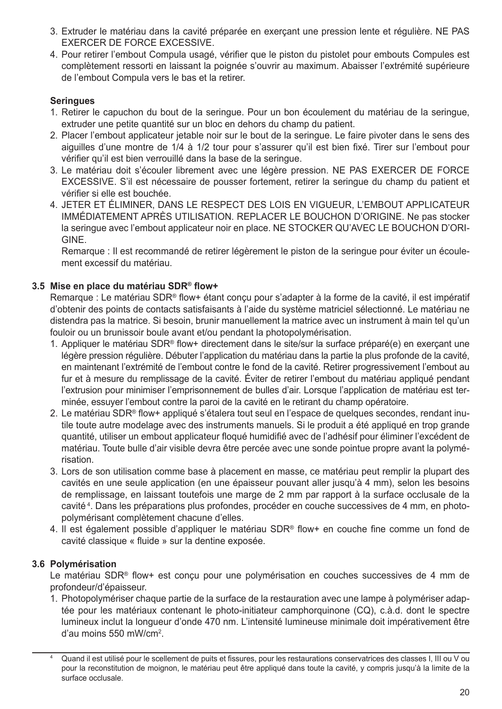- 3. Extruder le matériau dans la cavité préparée en exerçant une pression lente et régulière. NE PAS EXERCER DE FORCE EXCESSIVE.
- 4. Pour retirer l'embout Compula usagé, vérifier que le piston du pistolet pour embouts Compules est complètement ressorti en laissant la poignée s'ouvrir au maximum. Abaisser l'extrémité supérieure de l'embout Compula vers le bas et la retirer.

#### **Seringues**

- 1. Retirer le capuchon du bout de la seringue. Pour un bon écoulement du matériau de la seringue, extruder une petite quantité sur un bloc en dehors du champ du patient.
- 2. Placer l'embout applicateur jetable noir sur le bout de la seringue. Le faire pivoter dans le sens des aiguilles d'une montre de 1/4 à 1/2 tour pour s'assurer qu'il est bien fixé. Tirer sur l'embout pour vérifier qu'il est bien verrouillé dans la base de la seringue.
- 3. Le matériau doit s'écouler librement avec une légère pression. NE PAS EXERCER DE FORCE EXCESSIVE. S'il est nécessaire de pousser fortement, retirer la seringue du champ du patient et vérifier si elle est bouchée.
- 4. JETER ET ÉLIMINER, DANS LE RESPECT DES LOIS EN VIGUEUR, L'EMBOUT APPLICATEUR IMMÉDIATEMENT APRÈS UTILISATION. REPLACER LE BOUCHON D'ORIGINE. Ne pas stocker la seringue avec l'embout applicateur noir en place. NE STOCKER QU'AVEC LE BOUCHON D'ORI-GINE.

Remarque : Il est recommandé de retirer légèrement le piston de la seringue pour éviter un écoulement excessif du matériau.

#### **3.5 Mise en place du matériau SDR® flow+**

Remarque : Le matériau SDR® flow+ étant conçu pour s'adapter à la forme de la cavité, il est impératif d'obtenir des points de contacts satisfaisants à l'aide du système matriciel sélectionné. Le matériau ne distendra pas la matrice. Si besoin, brunir manuellement la matrice avec un instrument à main tel qu'un fouloir ou un brunissoir boule avant et/ou pendant la photopolymérisation.

- 1. Appliquer le matériau SDR® flow+ directement dans le site/sur la surface préparé(e) en exerçant une légère pression régulière. Débuter l'application du matériau dans la partie la plus profonde de la cavité, en maintenant l'extrémité de l'embout contre le fond de la cavité. Retirer progressivement l'embout au fur et à mesure du remplissage de la cavité. Éviter de retirer l'embout du matériau appliqué pendant l'extrusion pour minimiser l'emprisonnement de bulles d'air. Lorsque l'application de matériau est terminée, essuyer l'embout contre la paroi de la cavité en le retirant du champ opératoire.
- 2. Le matériau SDR® flow+ appliqué s'étalera tout seul en l'espace de quelques secondes, rendant inutile toute autre modelage avec des instruments manuels. Si le produit a été appliqué en trop grande quantité, utiliser un embout applicateur floqué humidifié avec de l'adhésif pour éliminer l'excédent de matériau. Toute bulle d'air visible devra être percée avec une sonde pointue propre avant la polymérisation.
- 3. Lors de son utilisation comme base à placement en masse, ce matériau peut remplir la plupart des cavités en une seule application (en une épaisseur pouvant aller jusqu'à 4 mm), selon les besoins de remplissage, en laissant toutefois une marge de 2 mm par rapport à la surface occlusale de la cavité <sup>4</sup> . Dans les préparations plus profondes, procéder en couche successives de 4 mm, en photopolymérisant complètement chacune d'elles.
- 4. Il est également possible d'appliquer le matériau SDR® flow+ en couche fine comme un fond de cavité classique « fluide » sur la dentine exposée.

#### **3.6 Polymérisation**

Le matériau SDR® flow+ est conçu pour une polymérisation en couches successives de 4 mm de profondeur/d'épaisseur.

1. Photopolymériser chaque partie de la surface de la restauration avec une lampe à polymériser adaptée pour les matériaux contenant le photo-initiateur camphorquinone (CQ), c.à.d. dont le spectre lumineux inclut la longueur d'onde 470 nm. L'intensité lumineuse minimale doit impérativement être d'au moins 550 mW/cm<sup>2</sup> .

Quand il est utilisé pour le scellement de puits et fissures, pour les restaurations conservatrices des classes I, III ou V ou pour la reconstitution de moignon, le matériau peut être appliqué dans toute la cavité, y compris jusqu'à la limite de la surface occlusale.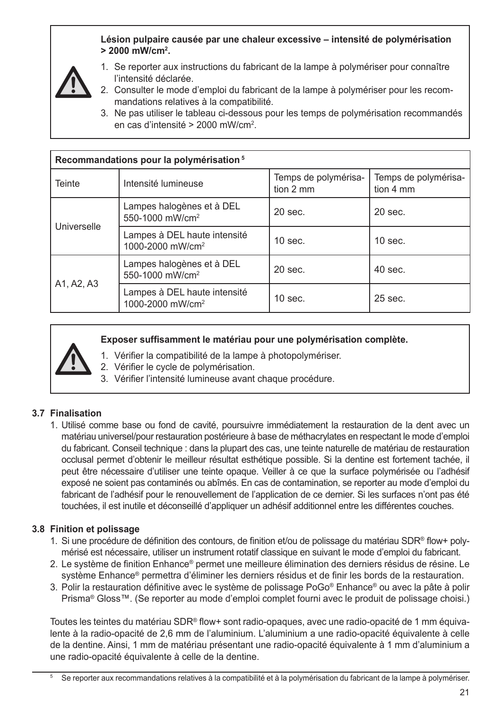**Lésion pulpaire causée par une chaleur excessive – intensité de polymérisation > 2000 mW/cm<sup>2</sup> .**



- 1. Se reporter aux instructions du fabricant de la lampe à polymériser pour connaître l'intensité déclarée.
- 2. Consulter le mode d'emploi du fabricant de la lampe à polymériser pour les recommandations relatives à la compatibilité.
- 3. Ne pas utiliser le tableau ci-dessous pour les temps de polymérisation recommandés en cas d'intensité > 2000 mW/cm<sup>2</sup>.

| Recommandations pour la polymérisation <sup>5</sup> |                                                              |                                   |                                   |
|-----------------------------------------------------|--------------------------------------------------------------|-----------------------------------|-----------------------------------|
| Teinte                                              | Intensité lumineuse                                          | Temps de polymérisa-<br>tion 2 mm | Temps de polymérisa-<br>tion 4 mm |
| Universelle                                         | Lampes halogènes et à DEL<br>550-1000 mW/cm <sup>2</sup>     | $20$ sec.                         | $20$ sec.                         |
|                                                     | Lampes à DEL haute intensité<br>1000-2000 mW/cm <sup>2</sup> | $10$ sec.                         | $10$ sec.                         |
| A1, A2, A3                                          | Lampes halogènes et à DEL<br>550-1000 mW/cm <sup>2</sup>     | $20$ sec.                         | $40$ sec.                         |
|                                                     | Lampes à DEL haute intensité<br>1000-2000 mW/cm <sup>2</sup> | $10$ sec.                         | $25$ sec.                         |

**Exposer suffisamment le matériau pour une polymérisation complète.**

- 1. Vérifier la compatibilité de la lampe à photopolymériser.
- 2. Vérifier le cycle de polymérisation.
- 3. Vérifier l'intensité lumineuse avant chaque procédure.

#### **3.7 Finalisation**

1. Utilisé comme base ou fond de cavité, poursuivre immédiatement la restauration de la dent avec un matériau universel/pour restauration postérieure à base de méthacrylates en respectant le mode d'emploi du fabricant. Conseil technique : dans la plupart des cas, une teinte naturelle de matériau de restauration occlusal permet d'obtenir le meilleur résultat esthétique possible. Si la dentine est fortement tachée, il peut être nécessaire d'utiliser une teinte opaque. Veiller à ce que la surface polymérisée ou l'adhésif exposé ne soient pas contaminés ou abîmés. En cas de contamination, se reporter au mode d'emploi du fabricant de l'adhésif pour le renouvellement de l'application de ce dernier. Si les surfaces n'ont pas été touchées, il est inutile et déconseillé d'appliquer un adhésif additionnel entre les différentes couches.

#### **3.8 Finition et polissage**

- 1. Si une procédure de définition des contours, de finition et/ou de polissage du matériau SDR® flow+ polymérisé est nécessaire, utiliser un instrument rotatif classique en suivant le mode d'emploi du fabricant.
- 2. Le système de finition Enhance® permet une meilleure élimination des derniers résidus de résine. Le système Enhance® permettra d'éliminer les derniers résidus et de finir les bords de la restauration.
- 3. Polir la restauration définitive avec le système de polissage PoGo® Enhance® ou avec la pâte à polir Prisma® Gloss™. (Se reporter au mode d'emploi complet fourni avec le produit de polissage choisi.)

Toutes les teintes du matériau SDR® flow+ sont radio-opaques, avec une radio-opacité de 1 mm équivalente à la radio-opacité de 2,6 mm de l'aluminium. L'aluminium a une radio-opacité équivalente à celle de la dentine. Ainsi, 1 mm de matériau présentant une radio-opacité équivalente à 1 mm d'aluminium a une radio-opacité équivalente à celle de la dentine.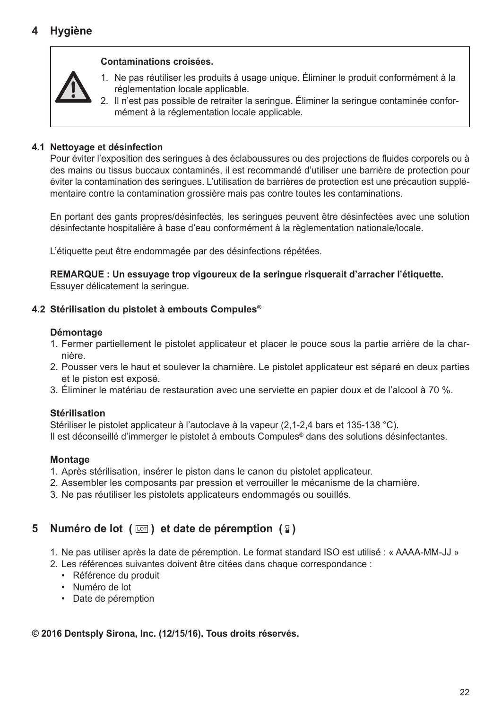# **4 Hygiène**

#### **Contaminations croisées.**



2. Il n'est pas possible de retraiter la seringue. Éliminer la seringue contaminée conformément à la réglementation locale applicable.

#### **4.1 Nettoyage et désinfection**

Pour éviter l'exposition des seringues à des éclaboussures ou des projections de fluides corporels ou à des mains ou tissus buccaux contaminés, il est recommandé d'utiliser une barrière de protection pour éviter la contamination des seringues. L'utilisation de barrières de protection est une précaution supplémentaire contre la contamination grossière mais pas contre toutes les contaminations.

En portant des gants propres/désinfectés, les seringues peuvent être désinfectées avec une solution désinfectante hospitalière à base d'eau conformément à la règlementation nationale/locale.

L'étiquette peut être endommagée par des désinfections répétées.

**REMARQUE : Un essuyage trop vigoureux de la seringue risquerait d'arracher l'étiquette.** Essuyer délicatement la seringue.

#### **4.2 Stérilisation du pistolet à embouts Compules®**

#### **Démontage**

- 1. Fermer partiellement le pistolet applicateur et placer le pouce sous la partie arrière de la charnière.
- 2. Pousser vers le haut et soulever la charnière. Le pistolet applicateur est séparé en deux parties et le piston est exposé.
- 3. Éliminer le matériau de restauration avec une serviette en papier doux et de l'alcool à 70 %.

#### **Stérilisation**

Stériliser le pistolet applicateur à l'autoclave à la vapeur (2,1-2,4 bars et 135-138 °C). Il est déconseillé d'immerger le pistolet à embouts Compules® dans des solutions désinfectantes.

#### **Montage**

- 1. Après stérilisation, insérer le piston dans le canon du pistolet applicateur.
- 2. Assembler les composants par pression et verrouiller le mécanisme de la charnière.
- 3. Ne pas réutiliser les pistolets applicateurs endommagés ou souillés.

# **5 Numéro de lot** ( $\text{cm}$ ) et date de péremption ( $\text{R}$ )

- 1. Ne pas utiliser après la date de péremption. Le format standard ISO est utilisé : « AAAA-MM-JJ »
- 2. Les références suivantes doivent être citées dans chaque correspondance :
	- Référence du produit
	- Numéro de lot
	- Date de péremption

#### **© 2016 Dentsply Sirona, Inc. (12/15/16). Tous droits réservés.**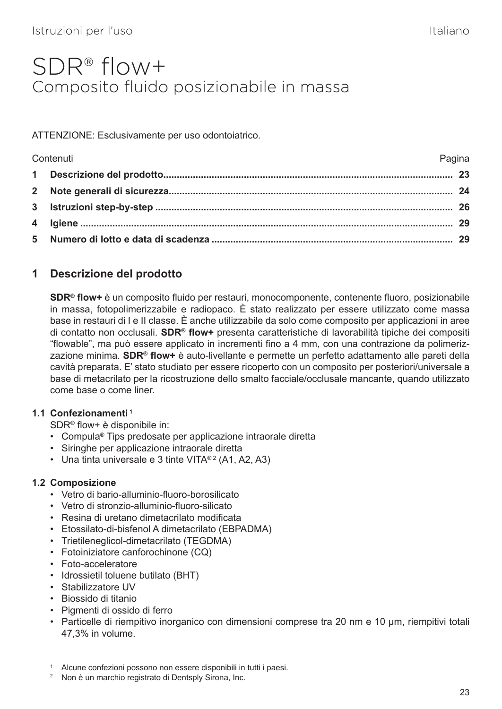# <span id="page-27-0"></span>SDR® flow+ Composito fluido posizionabile in massa

ATTENZIONE: Esclusivamente per uso odontoiatrico.

| Pagina<br>Contenuti |  |
|---------------------|--|
|                     |  |
|                     |  |
|                     |  |
|                     |  |
|                     |  |

# **1 Descrizione del prodotto**

**SDR® flow+** è un composito fluido per restauri, monocomponente, contenente fluoro, posizionabile in massa, fotopolimerizzabile e radiopaco. È stato realizzato per essere utilizzato come massa base in restauri di I e II classe. È anche utilizzabile da solo come composito per applicazioni in aree di contatto non occlusali. **SDR® flow+** presenta caratteristiche di lavorabilità tipiche dei compositi "flowable", ma può essere applicato in incrementi fino a 4 mm, con una contrazione da polimerizzazione minima. **SDR® flow+** è auto-livellante e permette un perfetto adattamento alle pareti della cavità preparata. E' stato studiato per essere ricoperto con un composito per posteriori/universale a base di metacrilato per la ricostruzione dello smalto facciale/occlusale mancante, quando utilizzato come base o come liner.

#### **1.1 Confezionamenti 1**

SDR® flow+ è disponibile in:

- Compula® Tips predosate per applicazione intraorale diretta
- Siringhe per applicazione intraorale diretta
- Una tinta universale e 3 tinte VITA® 2 (A1, A2, A3)

#### **1.2 Composizione**

- Vetro di bario-alluminio-fluoro-borosilicato
- Vetro di stronzio-alluminio-fluoro-silicato
- Resina di uretano dimetacrilato modificata
- Etossilato-di-bisfenol A dimetacrilato (EBPADMA)
- Trietileneglicol-dimetacrilato (TEGDMA)
- Fotoiniziatore canforochinone (CQ)
- Foto-acceleratore
- Idrossietil toluene butilato (BHT)
- Stabilizzatore UV
- Biossido di titanio
- Pigmenti di ossido di ferro
- Particelle di riempitivo inorganico con dimensioni comprese tra 20 nm e 10 µm, riempitivi totali 47,3% in volume.

Alcune confezioni possono non essere disponibili in tutti i paesi.

<sup>2</sup> Non è un marchio registrato di Dentsply Sirona, Inc.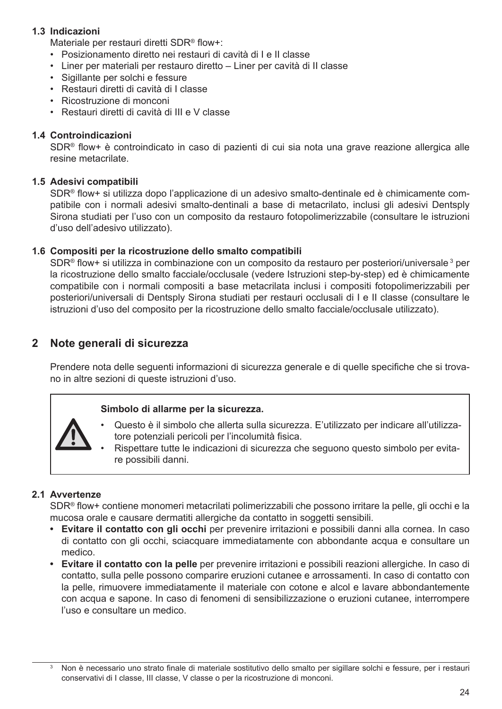#### **1.3 Indicazioni**

Materiale per restauri diretti SDR® flow+:

- Posizionamento diretto nei restauri di cavità di I e II classe
- Liner per materiali per restauro diretto Liner per cavità di II classe
- Sigillante per solchi e fessure
- Restauri diretti di cavità di I classe
- Ricostruzione di monconi
- Restauri diretti di cavità di III e V classe

#### **1.4 Controindicazioni**

SDR® flow+ è controindicato in caso di pazienti di cui sia nota una grave reazione allergica alle resine metacrilate.

#### **1.5 Adesivi compatibili**

SDR® flow+ si utilizza dopo l'applicazione di un adesivo smalto-dentinale ed è chimicamente compatibile con i normali adesivi smalto-dentinali a base di metacrilato, inclusi gli adesivi Dentsply Sirona studiati per l'uso con un composito da restauro fotopolimerizzabile (consultare le istruzioni d'uso dell'adesivo utilizzato).

#### **1.6 Compositi per la ricostruzione dello smalto compatibili**

SDR® flow+ si utilizza in combinazione con un composito da restauro per posteriori/universale  $^3$  per la ricostruzione dello smalto facciale/occlusale (vedere Istruzioni step-by-step) ed è chimicamente compatibile con i normali compositi a base metacrilata inclusi i compositi fotopolimerizzabili per posteriori/universali di Dentsply Sirona studiati per restauri occlusali di I e II classe (consultare le istruzioni d'uso del composito per la ricostruzione dello smalto facciale/occlusale utilizzato).

#### **2 Note generali di sicurezza**

Prendere nota delle seguenti informazioni di sicurezza generale e di quelle specifiche che si trovano in altre sezioni di queste istruzioni d'uso.

#### **Simbolo di allarme per la sicurezza.**



- Questo è il simbolo che allerta sulla sicurezza. E'utilizzato per indicare all'utilizzatore potenziali pericoli per l'incolumità fisica.
- Rispettare tutte le indicazioni di sicurezza che seguono questo simbolo per evitare possibili danni.

#### **2.1 Avvertenze**

SDR® flow+ contiene monomeri metacrilati polimerizzabili che possono irritare la pelle, gli occhi e la mucosa orale e causare dermatiti allergiche da contatto in soggetti sensibili.

- **• Evitare il contatto con gli occhi** per prevenire irritazioni e possibili danni alla cornea. In caso di contatto con gli occhi, sciacquare immediatamente con abbondante acqua e consultare un medico.
- **• Evitare il contatto con la pelle** per prevenire irritazioni e possibili reazioni allergiche. In caso di contatto, sulla pelle possono comparire eruzioni cutanee e arrossamenti. In caso di contatto con la pelle, rimuovere immediatamente il materiale con cotone e alcol e lavare abbondantemente con acqua e sapone. In caso di fenomeni di sensibilizzazione o eruzioni cutanee, interrompere l'uso e consultare un medico.

<sup>3</sup> Non è necessario uno strato finale di materiale sostitutivo dello smalto per sigillare solchi e fessure, per i restauri conservativi di I classe, III classe, V classe o per la ricostruzione di monconi.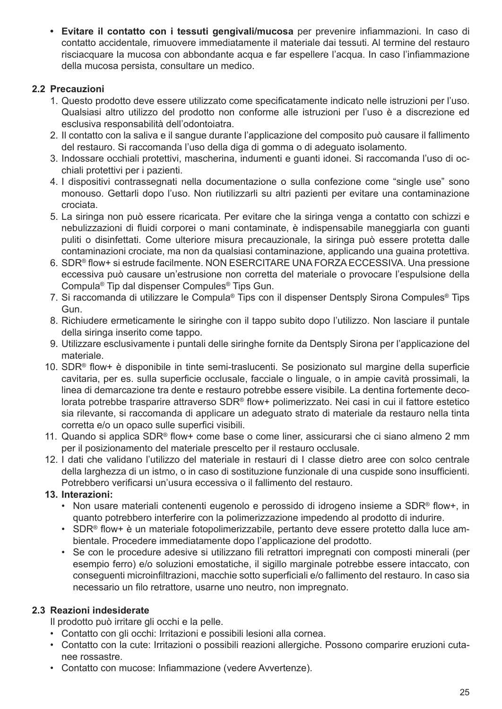**• Evitare il contatto con i tessuti gengivali/mucosa** per prevenire infiammazioni. In caso di contatto accidentale, rimuovere immediatamente il materiale dai tessuti. Al termine del restauro risciacquare la mucosa con abbondante acqua e far espellere l'acqua. In caso l'infiammazione della mucosa persista, consultare un medico.

#### **2.2 Precauzioni**

- 1. Questo prodotto deve essere utilizzato come specificatamente indicato nelle istruzioni per l'uso. Qualsiasi altro utilizzo del prodotto non conforme alle istruzioni per l'uso è a discrezione ed esclusiva responsabilità dell'odontoiatra.
- 2. Il contatto con la saliva e il sangue durante l'applicazione del composito può causare il fallimento del restauro. Si raccomanda l'uso della diga di gomma o di adeguato isolamento.
- 3. Indossare occhiali protettivi, mascherina, indumenti e guanti idonei. Si raccomanda l'uso di occhiali protettivi per i pazienti.
- 4. I dispositivi contrassegnati nella documentazione o sulla confezione come "single use" sono monouso. Gettarli dopo l'uso. Non riutilizzarli su altri pazienti per evitare una contaminazione crociata.
- 5. La siringa non può essere ricaricata. Per evitare che la siringa venga a contatto con schizzi e nebulizzazioni di fluidi corporei o mani contaminate, è indispensabile maneggiarla con guanti puliti o disinfettati. Come ulteriore misura precauzionale, la siringa può essere protetta dalle contaminazioni crociate, ma non da qualsiasi contaminazione, applicando una guaina protettiva.
- 6. SDR® flow+ si estrude facilmente. NON ESERCITARE UNA FORZA ECCESSIVA. Una pressione eccessiva può causare un'estrusione non corretta del materiale o provocare l'espulsione della Compula® Tip dal dispenser Compules® Tips Gun.
- 7. Si raccomanda di utilizzare le Compula® Tips con il dispenser Dentsply Sirona Compules® Tips Gun.
- 8. Richiudere ermeticamente le siringhe con il tappo subito dopo l'utilizzo. Non lasciare il puntale della siringa inserito come tappo.
- 9. Utilizzare esclusivamente i puntali delle siringhe fornite da Dentsply Sirona per l'applicazione del materiale.
- 10. SDR® flow+ è disponibile in tinte semi-traslucenti. Se posizionato sul margine della superficie cavitaria, per es. sulla superficie occlusale, facciale o linguale, o in ampie cavità prossimali, la linea di demarcazione tra dente e restauro potrebbe essere visibile. La dentina fortemente decolorata potrebbe trasparire attraverso SDR® flow+ polimerizzato. Nei casi in cui il fattore estetico sia rilevante, si raccomanda di applicare un adeguato strato di materiale da restauro nella tinta corretta e/o un opaco sulle superfici visibili.
- 11. Quando si applica SDR® flow+ come base o come liner, assicurarsi che ci siano almeno 2 mm per il posizionamento del materiale prescelto per il restauro occlusale.
- 12. I dati che validano l'utilizzo del materiale in restauri di I classe dietro aree con solco centrale della larghezza di un istmo, o in caso di sostituzione funzionale di una cuspide sono insufficienti. Potrebbero verificarsi un'usura eccessiva o il fallimento del restauro.

#### **13. Interazioni:**

- Non usare materiali contenenti eugenolo e perossido di idrogeno insieme a SDR® flow+, in quanto potrebbero interferire con la polimerizzazione impedendo al prodotto di indurire.
- SDR® flow+ è un materiale fotopolimerizzabile, pertanto deve essere protetto dalla luce ambientale. Procedere immediatamente dopo l'applicazione del prodotto.
- Se con le procedure adesive si utilizzano fili retrattori impregnati con composti minerali (per esempio ferro) e/o soluzioni emostatiche, il sigillo marginale potrebbe essere intaccato, con conseguenti microinfiltrazioni, macchie sotto superficiali e/o fallimento del restauro. In caso sia necessario un filo retrattore, usarne uno neutro, non impregnato.

### **2.3 Reazioni indesiderate**

Il prodotto può irritare gli occhi e la pelle.

- Contatto con gli occhi: Irritazioni e possibili lesioni alla cornea.
- Contatto con la cute: Irritazioni o possibili reazioni allergiche. Possono comparire eruzioni cutanee rossastre.
- Contatto con mucose: Infiammazione (vedere Avvertenze).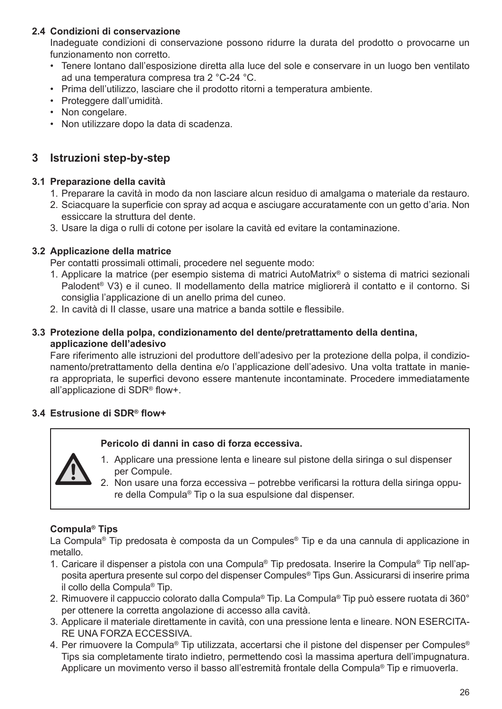#### **2.4 Condizioni di conservazione**

Inadeguate condizioni di conservazione possono ridurre la durata del prodotto o provocarne un funzionamento non corretto.

- Tenere lontano dall'esposizione diretta alla luce del sole e conservare in un luogo ben ventilato ad una temperatura compresa tra 2 °C-24 °C.
- Prima dell'utilizzo, lasciare che il prodotto ritorni a temperatura ambiente.
- Proteggere dall'umidità.
- Non congelare.
- Non utilizzare dopo la data di scadenza.

### **3 Istruzioni step-by-step**

#### **3.1 Preparazione della cavità**

- 1. Preparare la cavità in modo da non lasciare alcun residuo di amalgama o materiale da restauro.
- 2. Sciacquare la superficie con spray ad acqua e asciugare accuratamente con un getto d'aria. Non essiccare la struttura del dente.
- 3. Usare la diga o rulli di cotone per isolare la cavità ed evitare la contaminazione.

#### **3.2 Applicazione della matrice**

Per contatti prossimali ottimali, procedere nel seguente modo:

- 1. Applicare la matrice (per esempio sistema di matrici AutoMatrix® o sistema di matrici sezionali Palodent® V3) e il cuneo. Il modellamento della matrice migliorerà il contatto e il contorno. Si consiglia l'applicazione di un anello prima del cuneo.
- 2. In cavità di II classe, usare una matrice a banda sottile e flessibile.

#### **3.3 Protezione della polpa, condizionamento del dente/pretrattamento della dentina, applicazione dell'adesivo**

Fare riferimento alle istruzioni del produttore dell'adesivo per la protezione della polpa, il condizionamento/pretrattamento della dentina e/o l'applicazione dell'adesivo. Una volta trattate in maniera appropriata, le superfici devono essere mantenute incontaminate. Procedere immediatamente all'applicazione di SDR® flow+.

# **3.4 Estrusione di SDR® flow+**

#### **Pericolo di danni in caso di forza eccessiva.**



- 1. Applicare una pressione lenta e lineare sul pistone della siringa o sul dispenser per Compule.
- 2. Non usare una forza eccessiva potrebbe verificarsi la rottura della siringa oppure della Compula® Tip o la sua espulsione dal dispenser.

#### **Compula® Tips**

La Compula® Tip predosata è composta da un Compules® Tip e da una cannula di applicazione in metallo.

- 1. Caricare il dispenser a pistola con una Compula® Tip predosata. Inserire la Compula® Tip nell'apposita apertura presente sul corpo del dispenser Compules® Tips Gun. Assicurarsi di inserire prima il collo della Compula® Tip.
- 2. Rimuovere il cappuccio colorato dalla Compula® Tip. La Compula® Tip può essere ruotata di 360° per ottenere la corretta angolazione di accesso alla cavità.
- 3. Applicare il materiale direttamente in cavità, con una pressione lenta e lineare. NON ESERCITA-RE UNA FORZA ECCESSIVA.
- 4. Per rimuovere la Compula® Tip utilizzata, accertarsi che il pistone del dispenser per Compules® Tips sia completamente tirato indietro, permettendo così la massima apertura dell'impugnatura. Applicare un movimento verso il basso all'estremità frontale della Compula® Tip e rimuoverla.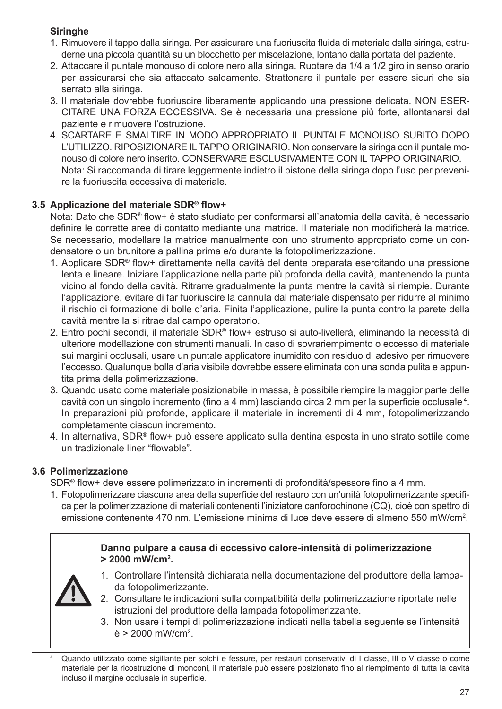#### **Siringhe**

- 1. Rimuovere il tappo dalla siringa. Per assicurare una fuoriuscita fluida di materiale dalla siringa, estruderne una piccola quantità su un blocchetto per miscelazione, lontano dalla portata del paziente.
- 2. Attaccare il puntale monouso di colore nero alla siringa. Ruotare da 1/4 a 1/2 giro in senso orario per assicurarsi che sia attaccato saldamente. Strattonare il puntale per essere sicuri che sia serrato alla siringa.
- 3. Il materiale dovrebbe fuoriuscire liberamente applicando una pressione delicata. NON ESER-CITARE UNA FORZA ECCESSIVA. Se è necessaria una pressione più forte, allontanarsi dal paziente e rimuovere l'ostruzione.
- 4. SCARTARE E SMALTIRE IN MODO APPROPRIATO IL PUNTALE MONOUSO SUBITO DOPO L'UTILIZZO. RIPOSIZIONARE IL TAPPO ORIGINARIO. Non conservare la siringa con il puntale monouso di colore nero inserito. CONSERVARE ESCLUSIVAMENTE CON IL TAPPO ORIGINARIO. Nota: Si raccomanda di tirare leggermente indietro il pistone della siringa dopo l'uso per prevenire la fuoriuscita eccessiva di materiale.

#### **3.5 Applicazione del materiale SDR® flow+**

Nota: Dato che SDR® flow+ è stato studiato per conformarsi all'anatomia della cavità, è necessario definire le corrette aree di contatto mediante una matrice. Il materiale non modificherà la matrice. Se necessario, modellare la matrice manualmente con uno strumento appropriato come un condensatore o un brunitore a pallina prima e/o durante la fotopolimerizzazione.

- 1. Applicare SDR® flow+ direttamente nella cavità del dente preparata esercitando una pressione lenta e lineare. Iniziare l'applicazione nella parte più profonda della cavità, mantenendo la punta vicino al fondo della cavità. Ritrarre gradualmente la punta mentre la cavità si riempie. Durante l'applicazione, evitare di far fuoriuscire la cannula dal materiale dispensato per ridurre al minimo il rischio di formazione di bolle d'aria. Finita l'applicazione, pulire la punta contro la parete della cavità mentre la si ritrae dal campo operatorio.
- 2. Entro pochi secondi, il materiale SDR® flow+ estruso si auto-livellerà, eliminando la necessità di ulteriore modellazione con strumenti manuali. In caso di sovrariempimento o eccesso di materiale sui margini occlusali, usare un puntale applicatore inumidito con residuo di adesivo per rimuovere l'eccesso. Qualunque bolla d'aria visibile dovrebbe essere eliminata con una sonda pulita e appuntita prima della polimerizzazione.
- 3. Quando usato come materiale posizionabile in massa, è possibile riempire la maggior parte delle cavità con un singolo incremento (fino a 4 mm) lasciando circa 2 mm per la superficie occlusale <sup>4</sup> . In preparazioni più profonde, applicare il materiale in incrementi di 4 mm, fotopolimerizzando completamente ciascun incremento.
- 4. In alternativa, SDR® flow+ può essere applicato sulla dentina esposta in uno strato sottile come un tradizionale liner "flowable".

#### **3.6 Polimerizzazione**

SDR® flow+ deve essere polimerizzato in incrementi di profondità/spessore fino a 4 mm.

1. Fotopolimerizzare ciascuna area della superficie del restauro con un'unità fotopolimerizzante specifica per la polimerizzazione di materiali contenenti l'iniziatore canforochinone (CQ), cioè con spettro di emissione contenente 470 nm. L'emissione minima di luce deve essere di almeno 550 mW/cm<sup>2</sup> .

#### **Danno pulpare a causa di eccessivo calore-intensità di polimerizzazione > 2000 mW/cm<sup>2</sup> .**



- 1. Controllare l'intensità dichiarata nella documentazione del produttore della lampada fotopolimerizzante.
- 2. Consultare le indicazioni sulla compatibilità della polimerizzazione riportate nelle istruzioni del produttore della lampada fotopolimerizzante.
- 3. Non usare i tempi di polimerizzazione indicati nella tabella seguente se l'intensità è > 2000 mW/cm<sup>2</sup> .

Quando utilizzato come sigillante per solchi e fessure, per restauri conservativi di I classe, III o V classe o come materiale per la ricostruzione di monconi, il materiale può essere posizionato fino al riempimento di tutta la cavità incluso il margine occlusale in superficie.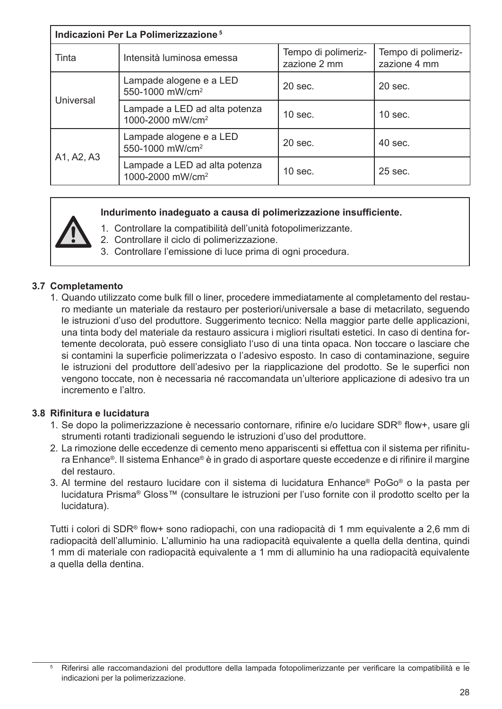| Indicazioni Per La Polimerizzazione <sup>5</sup> |                                                               |                                     |                                     |
|--------------------------------------------------|---------------------------------------------------------------|-------------------------------------|-------------------------------------|
| Tinta                                            | Intensità luminosa emessa                                     | Tempo di polimeriz-<br>zazione 2 mm | Tempo di polimeriz-<br>zazione 4 mm |
| Universal                                        | Lampade alogene e a LED<br>550-1000 mW/cm <sup>2</sup>        | $20$ sec.                           | $20$ sec.                           |
|                                                  | Lampade a LED ad alta potenza<br>1000-2000 mW/cm <sup>2</sup> | $10$ sec.                           | $10$ sec.                           |
|                                                  | Lampade alogene e a LED<br>550-1000 mW/cm <sup>2</sup>        | $20$ sec.                           | $40$ sec.                           |
| A1, A2, A3                                       | Lampade a LED ad alta potenza<br>1000-2000 mW/cm <sup>2</sup> | $10$ sec.                           | $25$ sec.                           |

#### **Indurimento inadeguato a causa di polimerizzazione insufficiente.**

- 1. Controllare la compatibilità dell'unità fotopolimerizzante.
- 2. Controllare il ciclo di polimerizzazione.
- 3. Controllare l'emissione di luce prima di ogni procedura.

#### **3.7 Completamento**

1. Quando utilizzato come bulk fill o liner, procedere immediatamente al completamento del restauro mediante un materiale da restauro per posteriori/universale a base di metacrilato, seguendo le istruzioni d'uso del produttore. Suggerimento tecnico: Nella maggior parte delle applicazioni, una tinta body del materiale da restauro assicura i migliori risultati estetici. In caso di dentina fortemente decolorata, può essere consigliato l'uso di una tinta opaca. Non toccare o lasciare che si contamini la superficie polimerizzata o l'adesivo esposto. In caso di contaminazione, seguire le istruzioni del produttore dell'adesivo per la riapplicazione del prodotto. Se le superfici non vengono toccate, non è necessaria né raccomandata un'ulteriore applicazione di adesivo tra un incremento e l'altro.

#### **3.8 Rifinitura e lucidatura**

- 1. Se dopo la polimerizzazione è necessario contornare, rifinire e/o lucidare SDR® flow+, usare gli strumenti rotanti tradizionali seguendo le istruzioni d'uso del produttore.
- 2. La rimozione delle eccedenze di cemento meno appariscenti si effettua con il sistema per rifinitura Enhance®. Il sistema Enhance® è in grado di asportare queste eccedenze e di rifinire il margine del restauro.
- 3. Al termine del restauro lucidare con il sistema di lucidatura Enhance® PoGo® o la pasta per lucidatura Prisma® Gloss™ (consultare le istruzioni per l'uso fornite con il prodotto scelto per la lucidatura).

Tutti i colori di SDR® flow+ sono radiopachi, con una radiopacità di 1 mm equivalente a 2,6 mm di radiopacità dell'alluminio. L'alluminio ha una radiopacità equivalente a quella della dentina, quindi 1 mm di materiale con radiopacità equivalente a 1 mm di alluminio ha una radiopacità equivalente a quella della dentina.

<sup>5</sup> Riferirsi alle raccomandazioni del produttore della lampada fotopolimerizzante per verificare la compatibilità e le indicazioni per la polimerizzazione.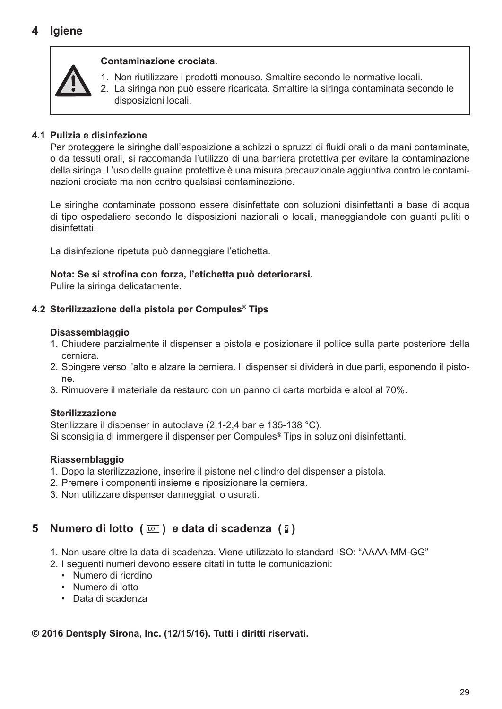#### **Contaminazione crociata.**

- - 1. Non riutilizzare i prodotti monouso. Smaltire secondo le normative locali.
	- 2. La siringa non può essere ricaricata. Smaltire la siringa contaminata secondo le disposizioni locali.

#### **4.1 Pulizia e disinfezione**

Per proteggere le siringhe dall'esposizione a schizzi o spruzzi di fluidi orali o da mani contaminate, o da tessuti orali, si raccomanda l'utilizzo di una barriera protettiva per evitare la contaminazione della siringa. L'uso delle guaine protettive è una misura precauzionale aggiuntiva contro le contaminazioni crociate ma non contro qualsiasi contaminazione.

Le siringhe contaminate possono essere disinfettate con soluzioni disinfettanti a base di acqua di tipo ospedaliero secondo le disposizioni nazionali o locali, maneggiandole con guanti puliti o disinfettati.

La disinfezione ripetuta può danneggiare l'etichetta.

#### **Nota: Se si strofina con forza, l'etichetta può deteriorarsi.**

Pulire la siringa delicatamente.

#### **4.2 Sterilizzazione della pistola per Compules® Tips**

#### **Disassemblaggio**

- 1. Chiudere parzialmente il dispenser a pistola e posizionare il pollice sulla parte posteriore della cerniera.
- 2. Spingere verso l'alto e alzare la cerniera. Il dispenser si dividerà in due parti, esponendo il pistone.
- 3. Rimuovere il materiale da restauro con un panno di carta morbida e alcol al 70%.

#### **Sterilizzazione**

Sterilizzare il dispenser in autoclave (2,1-2,4 bar e 135-138 °C). Si sconsiglia di immergere il dispenser per Compules® Tips in soluzioni disinfettanti.

#### **Riassemblaggio**

- 1. Dopo la sterilizzazione, inserire il pistone nel cilindro del dispenser a pistola.
- 2. Premere i componenti insieme e riposizionare la cerniera.
- 3. Non utilizzare dispenser danneggiati o usurati.

# **5 Numero di lotto (**  $\text{cm}$  ) e data di scadenza (  $\text{R}$  )

- 1. Non usare oltre la data di scadenza. Viene utilizzato lo standard ISO: "AAAA-MM-GG"
- 2. I seguenti numeri devono essere citati in tutte le comunicazioni:
	- Numero di riordino
	- Numero di lotto
	- Data di scadenza

#### **© 2016 Dentsply Sirona, Inc. (12/15/16). Tutti i diritti riservati.**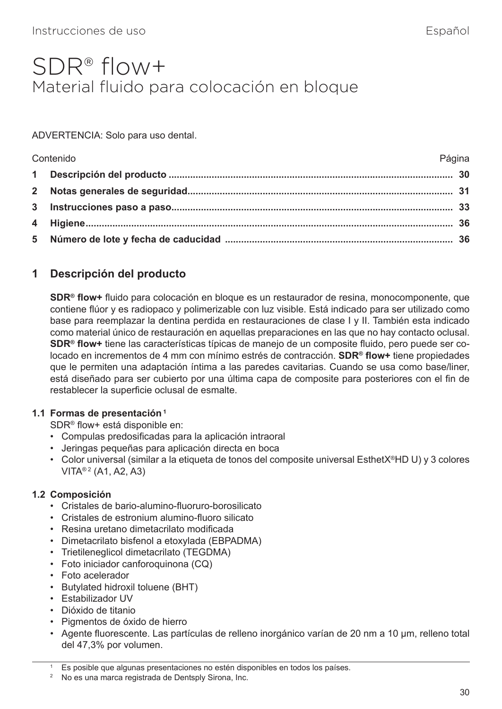# <span id="page-34-0"></span>SDR® flow+ Material fluido para colocación en bloque

#### ADVERTENCIA: Solo para uso dental.

| Contenido | Página |
|-----------|--------|
|           |        |
|           |        |
|           |        |
|           |        |
|           |        |

# **1 Descripción del producto**

**SDR® flow+** fluido para colocación en bloque es un restaurador de resina, monocomponente, que contiene flúor y es radiopaco y polimerizable con luz visible. Está indicado para ser utilizado como base para reemplazar la dentina perdida en restauraciones de clase I y II. También esta indicado como material único de restauración en aquellas preparaciones en las que no hay contacto oclusal. **SDR® flow+** tiene las características típicas de manejo de un composite fluido, pero puede ser colocado en incrementos de 4 mm con mínimo estrés de contracción. **SDR® flow+** tiene propiedades que le permiten una adaptación íntima a las paredes cavitarias. Cuando se usa como base/liner, está diseñado para ser cubierto por una última capa de composite para posteriores con el fin de restablecer la superficie oclusal de esmalte.

#### **1.1 Formas de presentación 1**

SDR® flow+ está disponible en:

- Compulas predosificadas para la aplicación intraoral
- Jeringas pequeñas para aplicación directa en boca
- Color universal (similar a la etiqueta de tonos del composite universal EsthetX®HD U) y 3 colores VITA® 2 (A1, A2, A3)

#### **1.2 Composición**

- Cristales de bario-alumino-fluoruro-borosilicato
- Cristales de estronium alumino-fluoro silicato
- Resina uretano dimetacrilato modificada
- Dimetacrilato bisfenol a etoxylada (EBPADMA)
- Trietileneglicol dimetacrilato (TEGDMA)
- Foto iniciador canforoquinona (CQ)
- Foto acelerador
- Butylated hidroxil toluene (BHT)
- Estabilizador UV
- Dióxido de titanio
- Pigmentos de óxido de hierro
- Agente fluorescente. Las partículas de relleno inorgánico varían de 20 nm a 10 µm, relleno total del 47,3% por volumen.

Es posible que algunas presentaciones no estén disponibles en todos los países.

<sup>2</sup> No es una marca registrada de Dentsply Sirona, Inc.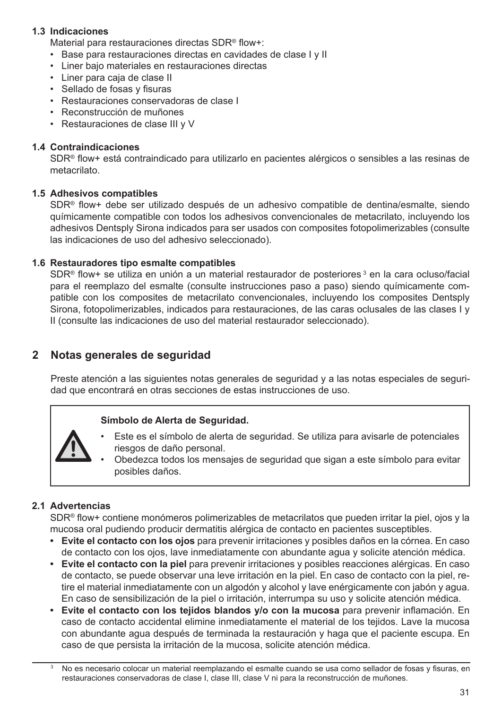#### **1.3 Indicaciones**

Material para restauraciones directas SDR® flow+:

- Base para restauraciones directas en cavidades de clase I y II
- Liner bajo materiales en restauraciones directas
- Liner para caja de clase II
- Sellado de fosas y fisuras
- Restauraciones conservadoras de clase I
- Reconstrucción de muñones
- Restauraciones de clase III y V

#### **1.4 Contraindicaciones**

SDR® flow+ está contraindicado para utilizarlo en pacientes alérgicos o sensibles a las resinas de metacrilato.

#### **1.5 Adhesivos compatibles**

SDR® flow+ debe ser utilizado después de un adhesivo compatible de dentina/esmalte, siendo químicamente compatible con todos los adhesivos convencionales de metacrilato, incluyendo los adhesivos Dentsply Sirona indicados para ser usados con composites fotopolimerizables (consulte las indicaciones de uso del adhesivo seleccionado).

#### **1.6 Restauradores tipo esmalte compatibles**

SDR® flow+ se utiliza en unión a un material restaurador de posteriores <sup>3</sup> en la cara ocluso/facial para el reemplazo del esmalte (consulte instrucciones paso a paso) siendo químicamente compatible con los composites de metacrilato convencionales, incluyendo los composites Dentsply Sirona, fotopolimerizables, indicados para restauraciones, de las caras oclusales de las clases I y II (consulte las indicaciones de uso del material restaurador seleccionado).

#### **2 Notas generales de seguridad**

Preste atención a las siguientes notas generales de seguridad y a las notas especiales de seguridad que encontrará en otras secciones de estas instrucciones de uso.

#### **Símbolo de Alerta de Seguridad.**



- Este es el símbolo de alerta de seguridad. Se utiliza para avisarle de potenciales riesgos de daño personal.
- Obedezca todos los mensajes de seguridad que sigan a este símbolo para evitar posibles daños.

#### **2.1 Advertencias**

SDR® flow+ contiene monómeros polimerizables de metacrilatos que pueden irritar la piel, ojos y la mucosa oral pudiendo producir dermatitis alérgica de contacto en pacientes susceptibles.

- **• Evite el contacto con los ojos** para prevenir irritaciones y posibles daños en la córnea. En caso de contacto con los ojos, lave inmediatamente con abundante agua y solicite atención médica.
- **• Evite el contacto con la piel** para prevenir irritaciones y posibles reacciones alérgicas. En caso de contacto, se puede observar una leve irritación en la piel. En caso de contacto con la piel, retire el material inmediatamente con un algodón y alcohol y lave enérgicamente con jabón y agua. En caso de sensibilización de la piel o irritación, interrumpa su uso y solicite atención médica.
- **• Evite el contacto con los tejidos blandos y/o con la mucosa** para prevenir inflamación. En caso de contacto accidental elimine inmediatamente el material de los tejidos. Lave la mucosa con abundante agua después de terminada la restauración y haga que el paciente escupa. En caso de que persista la irritación de la mucosa, solicite atención médica.

No es necesario colocar un material reemplazando el esmalte cuando se usa como sellador de fosas y fisuras, en restauraciones conservadoras de clase I, clase III, clase V ni para la reconstrucción de muñones.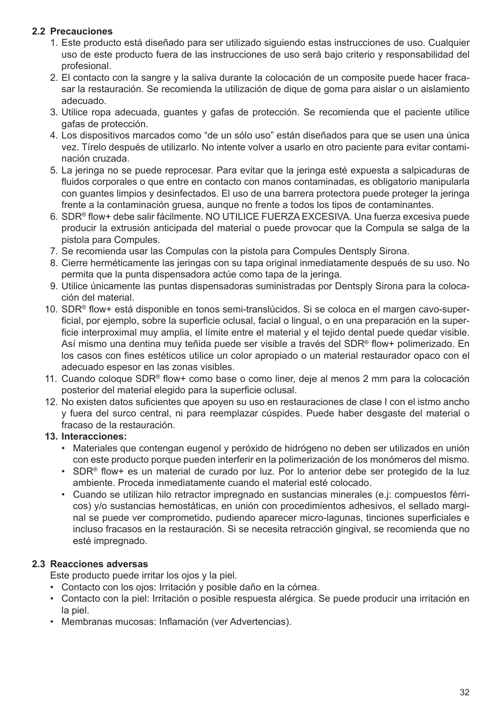#### **2.2 Precauciones**

- 1. Este producto está diseñado para ser utilizado siguiendo estas instrucciones de uso. Cualquier uso de este producto fuera de las instrucciones de uso será bajo criterio y responsabilidad del profesional.
- 2. El contacto con la sangre y la saliva durante la colocación de un composite puede hacer fracasar la restauración. Se recomienda la utilización de dique de goma para aislar o un aislamiento adecuado.
- 3. Utilice ropa adecuada, guantes y gafas de protección. Se recomienda que el paciente utilice gafas de protección.
- 4. Los dispositivos marcados como "de un sólo uso" están diseñados para que se usen una única vez. Tírelo después de utilizarlo. No intente volver a usarlo en otro paciente para evitar contaminación cruzada.
- 5. La jeringa no se puede reprocesar. Para evitar que la jeringa esté expuesta a salpicaduras de fluidos corporales o que entre en contacto con manos contaminadas, es obligatorio manipularla con guantes limpios y desinfectados. El uso de una barrera protectora puede proteger la jeringa frente a la contaminación gruesa, aunque no frente a todos los tipos de contaminantes.
- 6. SDR® flow+ debe salir fácilmente. NO UTILICE FUERZA EXCESIVA. Una fuerza excesiva puede producir la extrusión anticipada del material o puede provocar que la Compula se salga de la pistola para Compules.
- 7. Se recomienda usar las Compulas con la pistola para Compules Dentsply Sirona.
- 8. Cierre herméticamente las jeringas con su tapa original inmediatamente después de su uso. No permita que la punta dispensadora actúe como tapa de la jeringa.
- 9. Utilice únicamente las puntas dispensadoras suministradas por Dentsply Sirona para la colocación del material.
- 10. SDR® flow+ está disponible en tonos semi-translúcidos. Si se coloca en el margen cavo-superficial, por ejemplo, sobre la superficie oclusal, facial o lingual, o en una preparación en la superficie interproximal muy amplia, el límite entre el material y el tejido dental puede quedar visible. Así mismo una dentina muy teñida puede ser visible a través del SDR® flow+ polimerizado. En los casos con fines estéticos utilice un color apropiado o un material restaurador opaco con el adecuado espesor en las zonas visibles.
- 11. Cuando coloque SDR® flow+ como base o como liner, deje al menos 2 mm para la colocación posterior del material elegido para la superficie oclusal.
- 12. No existen datos suficientes que apoyen su uso en restauraciones de clase I con el istmo ancho y fuera del surco central, ni para reemplazar cúspides. Puede haber desgaste del material o fracaso de la restauración.

#### **13. Interacciones:**

- Materiales que contengan eugenol y peróxido de hidrógeno no deben ser utilizados en unión con este producto porque pueden interferir en la polimerización de los monómeros del mismo.
- SDR® flow+ es un material de curado por luz. Por lo anterior debe ser protegido de la luz ambiente. Proceda inmediatamente cuando el material esté colocado.
- Cuando se utilizan hilo retractor impregnado en sustancias minerales (e.j: compuestos férricos) y/o sustancias hemostáticas, en unión con procedimientos adhesivos, el sellado marginal se puede ver comprometido, pudiendo aparecer micro-lagunas, tinciones superficiales e incluso fracasos en la restauración. Si se necesita retracción gingival, se recomienda que no esté impregnado.

#### **2.3 Reacciones adversas**

Este producto puede irritar los ojos y la piel.

- Contacto con los ojos: Irritación y posible daño en la córnea.
- Contacto con la piel: Irritación o posible respuesta alérgica. Se puede producir una irritación en la piel.
- Membranas mucosas: Inflamación (ver Advertencias).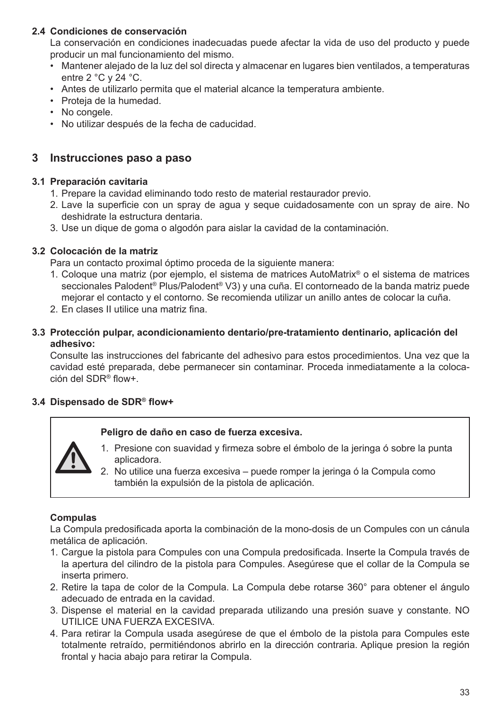#### **2.4 Condiciones de conservación**

La conservación en condiciones inadecuadas puede afectar la vida de uso del producto y puede producir un mal funcionamiento del mismo.

- Mantener alejado de la luz del sol directa y almacenar en lugares bien ventilados, a temperaturas entre 2 °C y 24 °C.
- Antes de utilizarlo permita que el material alcance la temperatura ambiente.
- Proteja de la humedad.
- No congele.
- No utilizar después de la fecha de caducidad.

#### **3 Instrucciones paso a paso**

#### **3.1 Preparación cavitaria**

- 1. Prepare la cavidad eliminando todo resto de material restaurador previo.
- 2. Lave la superficie con un spray de agua y seque cuidadosamente con un spray de aire. No deshidrate la estructura dentaria.
- 3. Use un dique de goma o algodón para aislar la cavidad de la contaminación.

#### **3.2 Colocación de la matriz**

Para un contacto proximal óptimo proceda de la siguiente manera:

- 1. Coloque una matriz (por ejemplo, el sistema de matrices AutoMatrix® o el sistema de matrices seccionales Palodent® Plus/Palodent® V3) y una cuña. El contorneado de la banda matriz puede mejorar el contacto y el contorno. Se recomienda utilizar un anillo antes de colocar la cuña.
- 2. En clases II utilice una matriz fina.

#### **3.3 Protección pulpar, acondicionamiento dentario/pre-tratamiento dentinario, aplicación del adhesivo:**

Consulte las instrucciones del fabricante del adhesivo para estos procedimientos. Una vez que la cavidad esté preparada, debe permanecer sin contaminar. Proceda inmediatamente a la colocación del SDR® flow+.

#### **3.4 Dispensado de SDR® flow+**

#### **Peligro de daño en caso de fuerza excesiva.**

- 1. Presione con suavidad y firmeza sobre el émbolo de la jeringa ó sobre la punta aplicadora.
- 2. No utilice una fuerza excesiva puede romper la jeringa ó la Compula como también la expulsión de la pistola de aplicación.

#### **Compulas**

La Compula predosificada aporta la combinación de la mono-dosis de un Compules con un cánula metálica de aplicación.

- 1. Cargue la pistola para Compules con una Compula predosificada. Inserte la Compula través de la apertura del cilindro de la pistola para Compules. Asegúrese que el collar de la Compula se inserta primero.
- 2. Retire la tapa de color de la Compula. La Compula debe rotarse 360° para obtener el ángulo adecuado de entrada en la cavidad.
- 3. Dispense el material en la cavidad preparada utilizando una presión suave y constante. NO UTILICE UNA FUERZA EXCESIVA.
- 4. Para retirar la Compula usada asegúrese de que el émbolo de la pistola para Compules este totalmente retraído, permitiéndonos abrirlo en la dirección contraria. Aplique presion la región frontal y hacia abajo para retirar la Compula.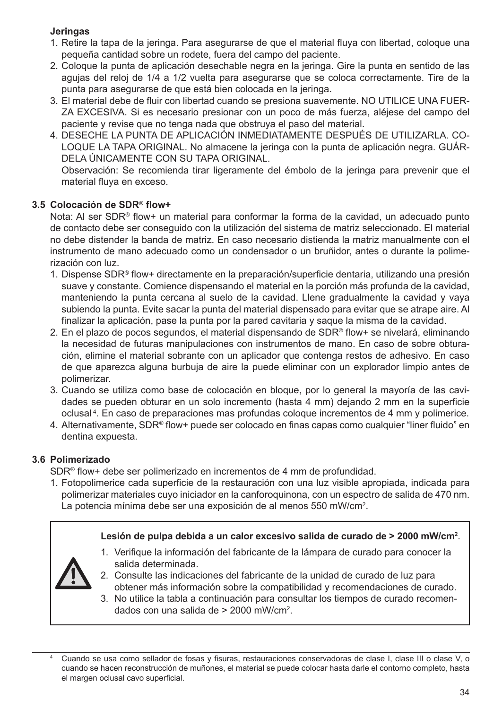#### **Jeringas**

- 1. Retire la tapa de la jeringa. Para asegurarse de que el material fluya con libertad, coloque una pequeña cantidad sobre un rodete, fuera del campo del paciente.
- 2. Coloque la punta de aplicación desechable negra en la jeringa. Gire la punta en sentido de las agujas del reloj de 1/4 a 1/2 vuelta para asegurarse que se coloca correctamente. Tire de la punta para asegurarse de que está bien colocada en la jeringa.
- 3. El material debe de fluir con libertad cuando se presiona suavemente. NO UTILICE UNA FUER-ZA EXCESIVA. Si es necesario presionar con un poco de más fuerza, aléjese del campo del paciente y revise que no tenga nada que obstruya el paso del material.
- 4. DESECHE LA PUNTA DE APLICACIÓN INMEDIATAMENTE DESPUÉS DE UTILIZARLA. CO-LOQUE LA TAPA ORIGINAL. No almacene la jeringa con la punta de aplicación negra. GUÁR-DELA ÚNICAMENTE CON SU TAPA ORIGINAL.

Observación: Se recomienda tirar ligeramente del émbolo de la jeringa para prevenir que el material fluya en exceso.

#### **3.5 Colocación de SDR® flow+**

Nota: Al ser SDR® flow+ un material para conformar la forma de la cavidad, un adecuado punto de contacto debe ser conseguido con la utilización del sistema de matriz seleccionado. El material no debe distender la banda de matriz. En caso necesario distienda la matriz manualmente con el instrumento de mano adecuado como un condensador o un bruñidor, antes o durante la polimerización con luz.

- 1. Dispense SDR® flow+ directamente en la preparación/superficie dentaria, utilizando una presión suave y constante. Comience dispensando el material en la porción más profunda de la cavidad, manteniendo la punta cercana al suelo de la cavidad. Llene gradualmente la cavidad y vaya subiendo la punta. Evite sacar la punta del material dispensado para evitar que se atrape aire. Al finalizar la aplicación, pase la punta por la pared cavitaria y saque la misma de la cavidad.
- 2. En el plazo de pocos segundos, el material dispensando de SDR® flow+ se nivelará, eliminando la necesidad de futuras manipulaciones con instrumentos de mano. En caso de sobre obturación, elimine el material sobrante con un aplicador que contenga restos de adhesivo. En caso de que aparezca alguna burbuja de aire la puede eliminar con un explorador limpio antes de polimerizar.
- 3. Cuando se utiliza como base de colocación en bloque, por lo general la mayoría de las cavidades se pueden obturar en un solo incremento (hasta 4 mm) dejando 2 mm en la superficie oclusal <sup>4</sup> . En caso de preparaciones mas profundas coloque incrementos de 4 mm y polimerice.
- 4. Alternativamente, SDR® flow+ puede ser colocado en finas capas como cualquier "liner fluido" en dentina expuesta.

#### **3.6 Polimerizado**

SDR® flow+ debe ser polimerizado en incrementos de 4 mm de profundidad.

1. Fotopolimerice cada superficie de la restauración con una luz visible apropiada, indicada para polimerizar materiales cuyo iniciador en la canforoquinona, con un espectro de salida de 470 nm. La potencia mínima debe ser una exposición de al menos 550 mW/cm<sup>2</sup>.

|             | Lesión de pulpa debida a un calor excesivo salida de curado de > 2000 mW/cm <sup>2</sup> .                |
|-------------|-----------------------------------------------------------------------------------------------------------|
|             | 1. Verifique la información del fabricante de la lámpara de curado para conocer la<br>salida determinada. |
| $\bigwedge$ | 2. Consulte las indicaciones del fabricante de la unidad de curado de luz para                            |

obtener más información sobre la compatibilidad y recomendaciones de curado. 3. No utilice la tabla a continuación para consultar los tiempos de curado recomendados con una salida de > 2000 mW/cm<sup>2</sup> .

Cuando se usa como sellador de fosas y fisuras, restauraciones conservadoras de clase I, clase III o clase V, o cuando se hacen reconstrucción de muñones, el material se puede colocar hasta darle el contorno completo, hasta el margen oclusal cavo superficial.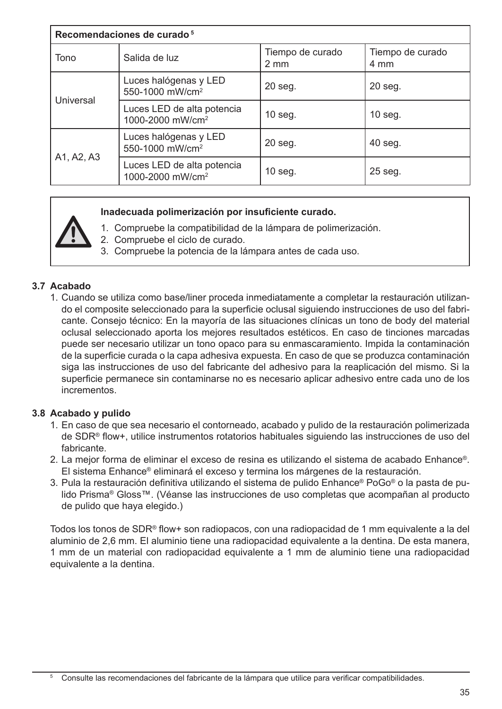| Recomendaciones de curado <sup>5</sup> |                                                            |                                      |                          |
|----------------------------------------|------------------------------------------------------------|--------------------------------------|--------------------------|
| Tono                                   | Salida de luz                                              | Tiempo de curado<br>$2 \, \text{mm}$ | Tiempo de curado<br>4 mm |
| Universal                              | Luces halógenas y LED<br>550-1000 mW/cm <sup>2</sup>       | 20 seg.                              | 20 seg.                  |
|                                        | Luces LED de alta potencia<br>1000-2000 mW/cm <sup>2</sup> | 10 seg.                              | $10$ seg.                |
| A1, A2, A3                             | Luces halógenas y LED<br>550-1000 mW/cm <sup>2</sup>       | 20 seg.                              | 40 seg.                  |
|                                        | Luces LED de alta potencia<br>1000-2000 mW/cm <sup>2</sup> | 10 seg.                              | 25 seg.                  |

#### **Inadecuada polimerización por insuficiente curado.**

- 1. Compruebe la compatibilidad de la lámpara de polimerización.
- 2. Compruebe el ciclo de curado.
- 3. Compruebe la potencia de la lámpara antes de cada uso.

#### **3.7 Acabado**

1. Cuando se utiliza como base/liner proceda inmediatamente a completar la restauración utilizando el composite seleccionado para la superficie oclusal siguiendo instrucciones de uso del fabricante. Consejo técnico: En la mayoría de las situaciones clínicas un tono de body del material oclusal seleccionado aporta los mejores resultados estéticos. En caso de tinciones marcadas puede ser necesario utilizar un tono opaco para su enmascaramiento. Impida la contaminación de la superficie curada o la capa adhesiva expuesta. En caso de que se produzca contaminación siga las instrucciones de uso del fabricante del adhesivo para la reaplicación del mismo. Si la superficie permanece sin contaminarse no es necesario aplicar adhesivo entre cada uno de los incrementos.

#### **3.8 Acabado y pulido**

- 1. En caso de que sea necesario el contorneado, acabado y pulido de la restauración polimerizada de SDR® flow+, utilice instrumentos rotatorios habituales siguiendo las instrucciones de uso del fabricante.
- 2. La mejor forma de eliminar el exceso de resina es utilizando el sistema de acabado Enhance®. El sistema Enhance® eliminará el exceso y termina los márgenes de la restauración.
- 3. Pula la restauración definitiva utilizando el sistema de pulido Enhance® PoGo® o la pasta de pulido Prisma® Gloss™. (Véanse las instrucciones de uso completas que acompañan al producto de pulido que haya elegido.)

Todos los tonos de SDR® flow+ son radiopacos, con una radiopacidad de 1 mm equivalente a la del aluminio de 2,6 mm. El aluminio tiene una radiopacidad equivalente a la dentina. De esta manera, 1 mm de un material con radiopacidad equivalente a 1 mm de aluminio tiene una radiopacidad equivalente a la dentina.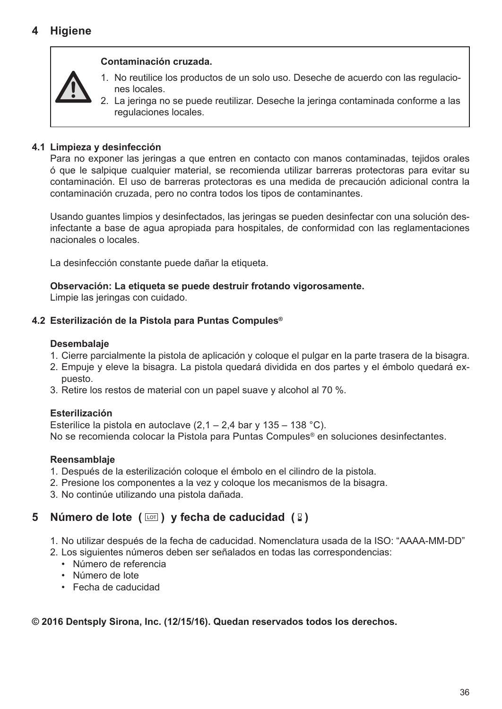#### **Contaminación cruzada.**



- 1. No reutilice los productos de un solo uso. Deseche de acuerdo con las regulaciones locales.
- 2. La jeringa no se puede reutilizar. Deseche la jeringa contaminada conforme a las regulaciones locales.

#### **4.1 Limpieza y desinfección**

Para no exponer las jeringas a que entren en contacto con manos contaminadas, tejidos orales ó que le salpique cualquier material, se recomienda utilizar barreras protectoras para evitar su contaminación. El uso de barreras protectoras es una medida de precaución adicional contra la contaminación cruzada, pero no contra todos los tipos de contaminantes.

Usando guantes limpios y desinfectados, las jeringas se pueden desinfectar con una solución desinfectante a base de agua apropiada para hospitales, de conformidad con las reglamentaciones nacionales o locales.

La desinfección constante puede dañar la etiqueta.

**Observación: La etiqueta se puede destruir frotando vigorosamente.**

Limpie las jeringas con cuidado.

#### **4.2 Esterilización de la Pistola para Puntas Compules®**

#### **Desembalaje**

- 1. Cierre parcialmente la pistola de aplicación y coloque el pulgar en la parte trasera de la bisagra.
- 2. Empuje y eleve la bisagra. La pistola quedará dividida en dos partes y el émbolo quedará expuesto.
- 3. Retire los restos de material con un papel suave y alcohol al 70 %.

#### **Esterilización**

Esterilice la pistola en autoclave  $(2,1 - 2,4$  bar y  $135 - 138$  °C). No se recomienda colocar la Pistola para Puntas Compules® en soluciones desinfectantes.

#### **Reensamblaje**

- 1. Después de la esterilización coloque el émbolo en el cilindro de la pistola.
- 2. Presione los componentes a la vez y coloque los mecanismos de la bisagra.
- 3. No continúe utilizando una pistola dañada.

# **5** Número de lote ( $\boxed{\circ}$ ) y fecha de caducidad ( $\boxed{2}$ )

- 1. No utilizar después de la fecha de caducidad. Nomenclatura usada de la ISO: "AAAA-MM-DD"
- 2. Los siguientes números deben ser señalados en todas las correspondencias:
	- Número de referencia
	- Número de lote
	- Fecha de caducidad

#### **© 2016 Dentsply Sirona, Inc. (12/15/16). Quedan reservados todos los derechos.**